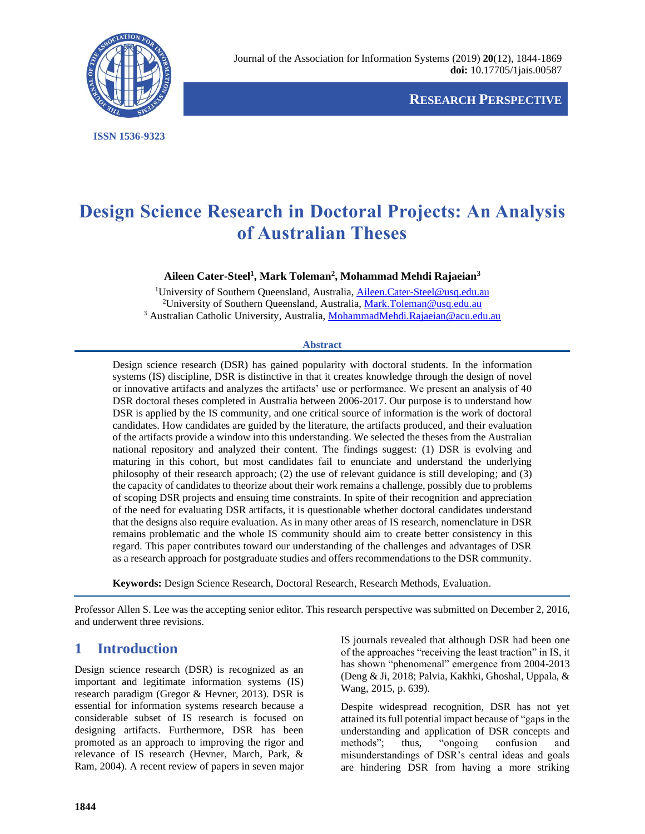

**ISSN 1536-9323**

**RESEARCH PERSPECTIVE**

# **Design Science Research in Doctoral Projects: An Analysis of Australian Theses**

#### **Aileen Cater-Steel<sup>1</sup> , Mark Toleman<sup>2</sup> , Mohammad Mehdi Rajaeian<sup>3</sup>**

<sup>1</sup>University of Southern Queensland, Australia, [Aileen.Cater-Steel@usq.edu.au](mailto:Aileen.Cater-Steel@usq.edu.au) <sup>2</sup>University of Southern Queensland, Australia, [Mark.Toleman@usq.edu.au](mailto:Mark.Toleman@usq.edu.au) <sup>3</sup> Australian Catholic University, Australia, [MohammadMehdi.Rajaeian@acu.edu.au](file:///C:/Users/monica/Dropbox/JAIS/Papers/2019/12.%20December/05.%20ISP-RA-JAIS-16-0356/05.%20From%20Authors/MohammadMehdi.Rajaeian@acu.edu.au)

#### **Abstract**

Design science research (DSR) has gained popularity with doctoral students. In the information systems (IS) discipline, DSR is distinctive in that it creates knowledge through the design of novel or innovative artifacts and analyzes the artifacts' use or performance. We present an analysis of 40 DSR doctoral theses completed in Australia between 2006-2017. Our purpose is to understand how DSR is applied by the IS community, and one critical source of information is the work of doctoral candidates. How candidates are guided by the literature, the artifacts produced, and their evaluation of the artifacts provide a window into this understanding. We selected the theses from the Australian national repository and analyzed their content. The findings suggest: (1) DSR is evolving and maturing in this cohort, but most candidates fail to enunciate and understand the underlying philosophy of their research approach; (2) the use of relevant guidance is still developing; and (3) the capacity of candidates to theorize about their work remains a challenge, possibly due to problems of scoping DSR projects and ensuing time constraints. In spite of their recognition and appreciation of the need for evaluating DSR artifacts, it is questionable whether doctoral candidates understand that the designs also require evaluation. As in many other areas of IS research, nomenclature in DSR remains problematic and the whole IS community should aim to create better consistency in this regard. This paper contributes toward our understanding of the challenges and advantages of DSR as a research approach for postgraduate studies and offers recommendations to the DSR community.

**Keywords:** Design Science Research, Doctoral Research, Research Methods, Evaluation.

Professor Allen S. Lee was the accepting senior editor. This research perspective was submitted on December 2, 2016, and underwent three revisions.

# **1 Introduction**

Design science research (DSR) is recognized as an important and legitimate information systems (IS) research paradigm (Gregor & Hevner, 2013). DSR is essential for information systems research because a considerable subset of IS research is focused on designing artifacts. Furthermore, DSR has been promoted as an approach to improving the rigor and relevance of IS research (Hevner, March, Park, & Ram, 2004). A recent review of papers in seven major

IS journals revealed that although DSR had been one of the approaches "receiving the least traction" in IS, it has shown "phenomenal" emergence from 2004-2013 (Deng & Ji, 2018; Palvia, Kakhki, Ghoshal, Uppala, & Wang, 2015, p. 639).

Despite widespread recognition, DSR has not yet attained its full potential impact because of "gaps in the understanding and application of DSR concepts and methods"; thus, "ongoing confusion and misunderstandings of DSR's central ideas and goals are hindering DSR from having a more striking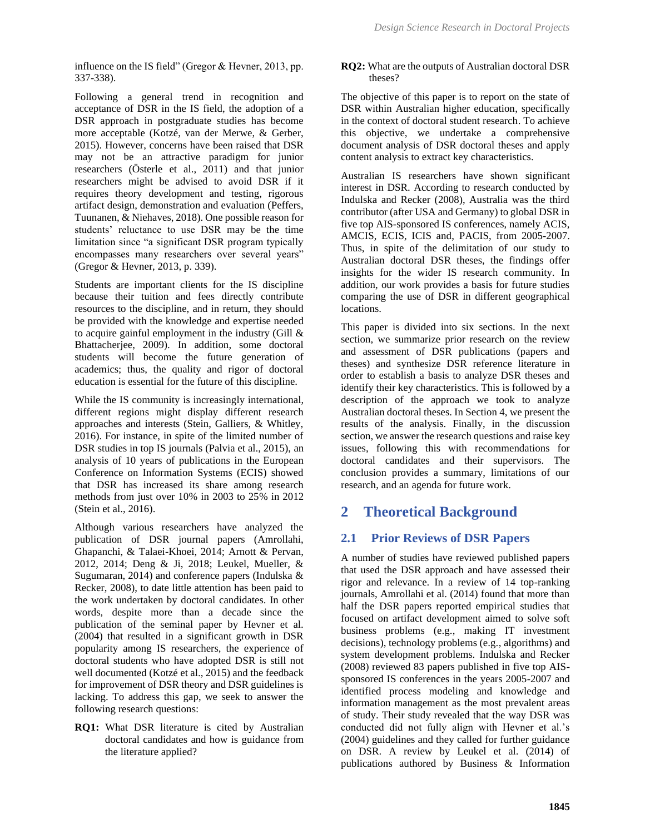influence on the IS field" (Gregor & Hevner, 2013, pp. 337-338).

Following a general trend in recognition and acceptance of DSR in the IS field, the adoption of a DSR approach in postgraduate studies has become more acceptable (Kotzé, van der Merwe, & Gerber, 2015). However, concerns have been raised that DSR may not be an attractive paradigm for junior researchers (Österle et al., 2011) and that junior researchers might be advised to avoid DSR if it requires theory development and testing, rigorous artifact design, demonstration and evaluation (Peffers, Tuunanen, & Niehaves, 2018). One possible reason for students' reluctance to use DSR may be the time limitation since "a significant DSR program typically encompasses many researchers over several years" (Gregor & Hevner, 2013, p. 339).

Students are important clients for the IS discipline because their tuition and fees directly contribute resources to the discipline, and in return, they should be provided with the knowledge and expertise needed to acquire gainful employment in the industry (Gill & Bhattacherjee, 2009). In addition, some doctoral students will become the future generation of academics; thus, the quality and rigor of doctoral education is essential for the future of this discipline.

While the IS community is increasingly international, different regions might display different research approaches and interests (Stein, Galliers, & Whitley, 2016). For instance, in spite of the limited number of DSR studies in top IS journals (Palvia et al., 2015), an analysis of 10 years of publications in the European Conference on Information Systems (ECIS) showed that DSR has increased its share among research methods from just over 10% in 2003 to 25% in 2012 (Stein et al., 2016).

Although various researchers have analyzed the publication of DSR journal papers (Amrollahi, Ghapanchi, & Talaei-Khoei, 2014; Arnott & Pervan, 2012, 2014; Deng & Ji, 2018; Leukel, Mueller, & Sugumaran, 2014) and conference papers (Indulska & Recker, 2008), to date little attention has been paid to the work undertaken by doctoral candidates. In other words, despite more than a decade since the publication of the seminal paper by Hevner et al. (2004) that resulted in a significant growth in DSR popularity among IS researchers, the experience of doctoral students who have adopted DSR is still not well documented (Kotzé et al., 2015) and the feedback for improvement of DSR theory and DSR guidelines is lacking. To address this gap, we seek to answer the following research questions:

**RQ1:** What DSR literature is cited by Australian doctoral candidates and how is guidance from the literature applied?

#### **RQ2:** What are the outputs of Australian doctoral DSR theses?

The objective of this paper is to report on the state of DSR within Australian higher education, specifically in the context of doctoral student research. To achieve this objective, we undertake a comprehensive document analysis of DSR doctoral theses and apply content analysis to extract key characteristics.

Australian IS researchers have shown significant interest in DSR. According to research conducted by Indulska and Recker (2008), Australia was the third contributor (after USA and Germany) to global DSR in five top AIS-sponsored IS conferences, namely ACIS, AMCIS, ECIS, ICIS and, PACIS, from 2005-2007. Thus, in spite of the delimitation of our study to Australian doctoral DSR theses, the findings offer insights for the wider IS research community. In addition, our work provides a basis for future studies comparing the use of DSR in different geographical locations.

This paper is divided into six sections. In the next section, we summarize prior research on the review and assessment of DSR publications (papers and theses) and synthesize DSR reference literature in order to establish a basis to analyze DSR theses and identify their key characteristics. This is followed by a description of the approach we took to analyze Australian doctoral theses. In Section 4, we present the results of the analysis. Finally, in the discussion section, we answer the research questions and raise key issues, following this with recommendations for doctoral candidates and their supervisors. The conclusion provides a summary, limitations of our research, and an agenda for future work.

# **2 Theoretical Background**

## **2.1 Prior Reviews of DSR Papers**

A number of studies have reviewed published papers that used the DSR approach and have assessed their rigor and relevance. In a review of 14 top-ranking journals, Amrollahi et al. (2014) found that more than half the DSR papers reported empirical studies that focused on artifact development aimed to solve soft business problems (e.g., making IT investment decisions), technology problems (e.g., algorithms) and system development problems. Indulska and Recker (2008) reviewed 83 papers published in five top AISsponsored IS conferences in the years 2005-2007 and identified process modeling and knowledge and information management as the most prevalent areas of study. Their study revealed that the way DSR was conducted did not fully align with Hevner et al.'s (2004) guidelines and they called for further guidance on DSR. A review by Leukel et al. (2014) of publications authored by Business & Information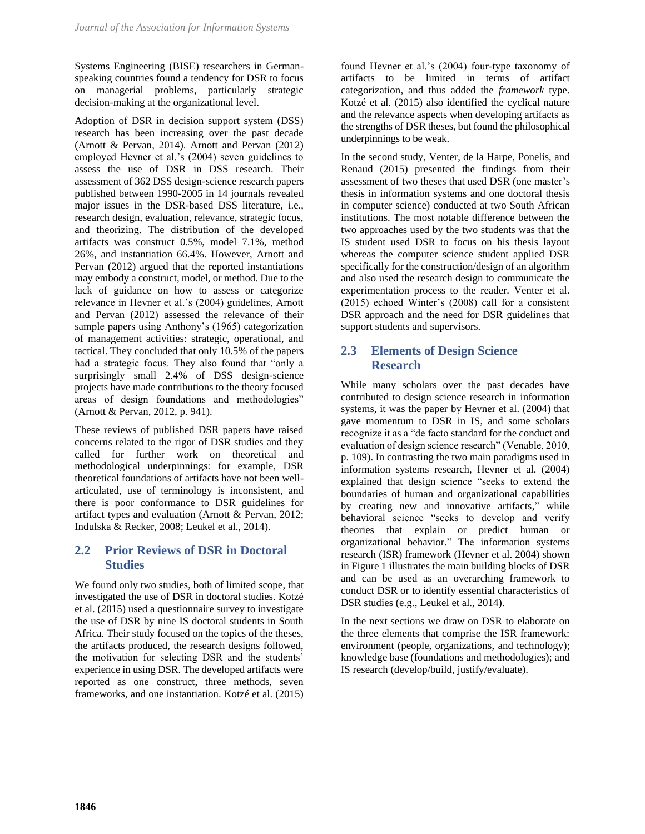Systems Engineering (BISE) researchers in Germanspeaking countries found a tendency for DSR to focus on managerial problems, particularly strategic decision-making at the organizational level.

Adoption of DSR in decision support system (DSS) research has been increasing over the past decade (Arnott & Pervan, 2014). Arnott and Pervan (2012) employed Hevner et al.'s (2004) seven guidelines to assess the use of DSR in DSS research. Their assessment of 362 DSS design-science research papers published between 1990-2005 in 14 journals revealed major issues in the DSR-based DSS literature, i.e., research design, evaluation, relevance, strategic focus, and theorizing. The distribution of the developed artifacts was construct 0.5%, model 7.1%, method 26%, and instantiation 66.4%. However, Arnott and Pervan (2012) argued that the reported instantiations may embody a construct, model, or method. Due to the lack of guidance on how to assess or categorize relevance in Hevner et al.'s (2004) guidelines, Arnott and Pervan (2012) assessed the relevance of their sample papers using Anthony's (1965) categorization of management activities: strategic, operational, and tactical. They concluded that only 10.5% of the papers had a strategic focus. They also found that "only a surprisingly small 2.4% of DSS design-science projects have made contributions to the theory focused areas of design foundations and methodologies" (Arnott & Pervan, 2012, p. 941).

These reviews of published DSR papers have raised concerns related to the rigor of DSR studies and they called for further work on theoretical and methodological underpinnings: for example, DSR theoretical foundations of artifacts have not been wellarticulated, use of terminology is inconsistent, and there is poor conformance to DSR guidelines for artifact types and evaluation (Arnott & Pervan, 2012; Indulska & Recker, 2008; Leukel et al., 2014).

## **2.2 Prior Reviews of DSR in Doctoral Studies**

We found only two studies, both of limited scope, that investigated the use of DSR in doctoral studies. Kotzé et al. (2015) used a questionnaire survey to investigate the use of DSR by nine IS doctoral students in South Africa. Their study focused on the topics of the theses, the artifacts produced, the research designs followed, the motivation for selecting DSR and the students' experience in using DSR. The developed artifacts were reported as one construct, three methods, seven frameworks, and one instantiation. Kotzé et al. (2015)

found Hevner et al.'s (2004) four-type taxonomy of artifacts to be limited in terms of artifact categorization, and thus added the *framework* type. Kotzé et al. (2015) also identified the cyclical nature and the relevance aspects when developing artifacts as the strengths of DSR theses, but found the philosophical underpinnings to be weak.

In the second study, Venter, de la Harpe, Ponelis, and Renaud (2015) presented the findings from their assessment of two theses that used DSR (one master's thesis in information systems and one doctoral thesis in computer science) conducted at two South African institutions. The most notable difference between the two approaches used by the two students was that the IS student used DSR to focus on his thesis layout whereas the computer science student applied DSR specifically for the construction/design of an algorithm and also used the research design to communicate the experimentation process to the reader. Venter et al. (2015) echoed Winter's (2008) call for a consistent DSR approach and the need for DSR guidelines that support students and supervisors.

## **2.3 Elements of Design Science Research**

While many scholars over the past decades have contributed to design science research in information systems, it was the paper by Hevner et al. (2004) that gave momentum to DSR in IS, and some scholars recognize it as a "de facto standard for the conduct and evaluation of design science research" (Venable, 2010, p. 109). In contrasting the two main paradigms used in information systems research, Hevner et al. (2004) explained that design science "seeks to extend the boundaries of human and organizational capabilities by creating new and innovative artifacts," while behavioral science "seeks to develop and verify theories that explain or predict human or organizational behavior." The information systems research (ISR) framework (Hevner et al. 2004) shown in Figure 1 illustrates the main building blocks of DSR and can be used as an overarching framework to conduct DSR or to identify essential characteristics of DSR studies (e.g., Leukel et al., 2014).

In the next sections we draw on DSR to elaborate on the three elements that comprise the ISR framework: environment (people, organizations, and technology); knowledge base (foundations and methodologies); and IS research (develop/build, justify/evaluate).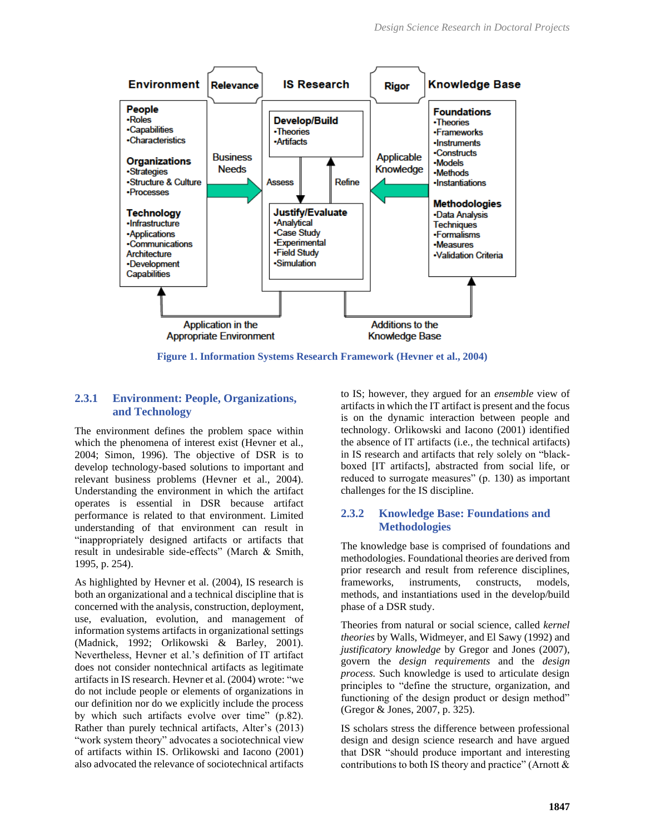

**Figure 1. Information Systems Research Framework (Hevner et al., 2004)**

#### **2.3.1 Environment: People, Organizations, and Technology**

The environment defines the problem space within which the phenomena of interest exist (Hevner et al., 2004; Simon, 1996). The objective of DSR is to develop technology-based solutions to important and relevant business problems (Hevner et al., 2004). Understanding the environment in which the artifact operates is essential in DSR because artifact performance is related to that environment. Limited understanding of that environment can result in "inappropriately designed artifacts or artifacts that result in undesirable side-effects" (March & Smith, 1995, p. 254).

As highlighted by Hevner et al. (2004), IS research is both an organizational and a technical discipline that is concerned with the analysis, construction, deployment, use, evaluation, evolution, and management of information systems artifacts in organizational settings (Madnick, 1992; Orlikowski & Barley, 2001). Nevertheless, Hevner et al.'s definition of IT artifact does not consider nontechnical artifacts as legitimate artifacts in IS research. Hevner et al. (2004) wrote: "we do not include people or elements of organizations in our definition nor do we explicitly include the process by which such artifacts evolve over time" (p.82). Rather than purely technical artifacts, Alter's (2013) "work system theory" advocates a sociotechnical view of artifacts within IS. Orlikowski and Iacono (2001) also advocated the relevance of sociotechnical artifacts

to IS; however, they argued for an *ensemble* view of artifacts in which the IT artifact is present and the focus is on the dynamic interaction between people and technology. Orlikowski and Iacono (2001) identified the absence of IT artifacts (i.e., the technical artifacts) in IS research and artifacts that rely solely on "blackboxed [IT artifacts], abstracted from social life, or reduced to surrogate measures" (p. 130) as important challenges for the IS discipline.

#### **2.3.2 Knowledge Base: Foundations and Methodologies**

The knowledge base is comprised of foundations and methodologies. Foundational theories are derived from prior research and result from reference disciplines, frameworks, instruments, constructs, models, methods, and instantiations used in the develop/build phase of a DSR study.

Theories from natural or social science, called *kernel theories* by Walls, Widmeyer, and El Sawy (1992) and *justificatory knowledge* by Gregor and Jones (2007), govern the *design requirements* and the *design process.* Such knowledge is used to articulate design principles to "define the structure, organization, and functioning of the design product or design method" (Gregor & Jones, 2007, p. 325).

IS scholars stress the difference between professional design and design science research and have argued that DSR "should produce important and interesting contributions to both IS theory and practice" (Arnott &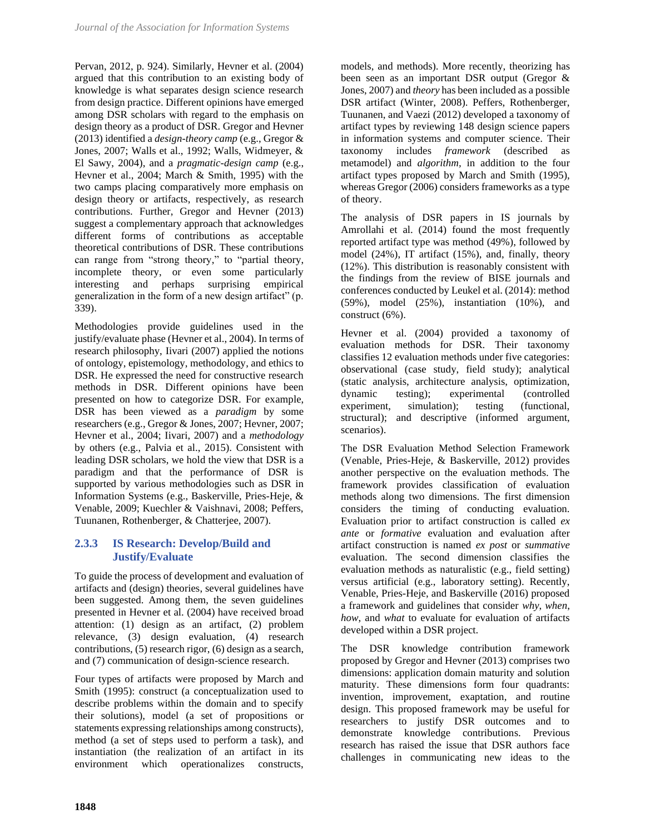Pervan, 2012, p. 924). Similarly, Hevner et al. (2004) argued that this contribution to an existing body of knowledge is what separates design science research from design practice. Different opinions have emerged among DSR scholars with regard to the emphasis on design theory as a product of DSR. Gregor and Hevner (2013) identified a *design-theory camp* (e.g., Gregor & Jones, 2007; Walls et al., 1992; Walls, Widmeyer, & El Sawy, 2004), and a *pragmatic-design camp* (e.g., Hevner et al., 2004; March & Smith, 1995) with the two camps placing comparatively more emphasis on design theory or artifacts, respectively, as research contributions. Further, Gregor and Hevner (2013) suggest a complementary approach that acknowledges different forms of contributions as acceptable theoretical contributions of DSR. These contributions can range from "strong theory," to "partial theory, incomplete theory, or even some particularly interesting and perhaps surprising empirical generalization in the form of a new design artifact" (p. 339).

Methodologies provide guidelines used in the justify/evaluate phase (Hevner et al., 2004). In terms of research philosophy, Iivari (2007) applied the notions of ontology, epistemology, methodology, and ethics to DSR. He expressed the need for constructive research methods in DSR. Different opinions have been presented on how to categorize DSR. For example, DSR has been viewed as a *paradigm* by some researchers (e.g., Gregor & Jones, 2007; Hevner, 2007; Hevner et al., 2004; Iivari, 2007) and a *methodology* by others (e.g., Palvia et al., 2015). Consistent with leading DSR scholars, we hold the view that DSR is a paradigm and that the performance of DSR is supported by various methodologies such as DSR in Information Systems (e.g., Baskerville, Pries-Heje, & Venable, 2009; Kuechler & Vaishnavi, 2008; Peffers, Tuunanen, Rothenberger, & Chatterjee, 2007).

#### **2.3.3 IS Research: Develop/Build and Justify/Evaluate**

To guide the process of development and evaluation of artifacts and (design) theories, several guidelines have been suggested. Among them, the seven guidelines presented in Hevner et al. (2004) have received broad attention: (1) design as an artifact, (2) problem relevance, (3) design evaluation, (4) research contributions, (5) research rigor, (6) design as a search, and (7) communication of design-science research.

Four types of artifacts were proposed by March and Smith (1995): construct (a conceptualization used to describe problems within the domain and to specify their solutions), model (a set of propositions or statements expressing relationships among constructs), method (a set of steps used to perform a task), and instantiation (the realization of an artifact in its environment which operationalizes constructs,

models, and methods). More recently, theorizing has been seen as an important DSR output (Gregor & Jones, 2007) and *theory* has been included as a possible DSR artifact (Winter, 2008). Peffers, Rothenberger, Tuunanen, and Vaezi (2012) developed a taxonomy of artifact types by reviewing 148 design science papers in information systems and computer science. Their taxonomy includes *framework* (described as metamodel) and *algorithm,* in addition to the four artifact types proposed by March and Smith (1995), whereas Gregor (2006) considers frameworks as a type of theory.

The analysis of DSR papers in IS journals by Amrollahi et al. (2014) found the most frequently reported artifact type was method (49%), followed by model (24%), IT artifact (15%), and, finally, theory (12%). This distribution is reasonably consistent with the findings from the review of BISE journals and conferences conducted by Leukel et al. (2014): method (59%), model (25%), instantiation (10%), and construct (6%).

Hevner et al. (2004) provided a taxonomy of evaluation methods for DSR. Their taxonomy classifies 12 evaluation methods under five categories: observational (case study, field study); analytical (static analysis, architecture analysis, optimization, dynamic testing); experimental (controlled experiment, simulation); testing (functional, structural); and descriptive (informed argument, scenarios).

The DSR Evaluation Method Selection Framework (Venable, Pries-Heje, & Baskerville, 2012) provides another perspective on the evaluation methods. The framework provides classification of evaluation methods along two dimensions. The first dimension considers the timing of conducting evaluation. Evaluation prior to artifact construction is called *ex ante* or *formative* evaluation and evaluation after artifact construction is named *ex post* or *summative*  evaluation. The second dimension classifies the evaluation methods as naturalistic (e.g., field setting) versus artificial (e.g., laboratory setting). Recently, Venable, Pries-Heje, and Baskerville (2016) proposed a framework and guidelines that consider *why*, *when*, *how*, and *what* to evaluate for evaluation of artifacts developed within a DSR project.

The DSR knowledge contribution framework proposed by Gregor and Hevner (2013) comprises two dimensions: application domain maturity and solution maturity. These dimensions form four quadrants: invention, improvement, exaptation, and routine design. This proposed framework may be useful for researchers to justify DSR outcomes and to demonstrate knowledge contributions. Previous research has raised the issue that DSR authors face challenges in communicating new ideas to the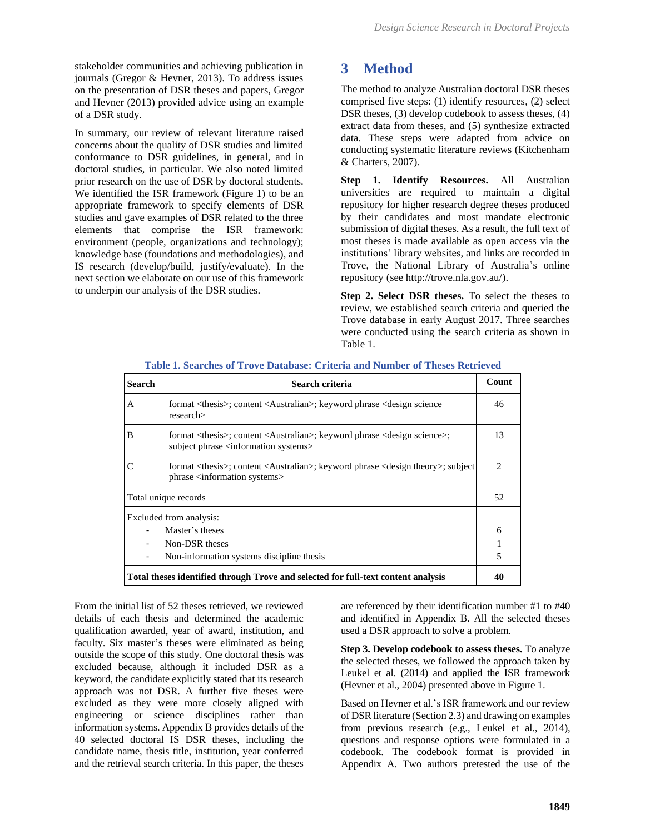stakeholder communities and achieving publication in journals (Gregor & Hevner, 2013). To address issues on the presentation of DSR theses and papers, Gregor and Hevner (2013) provided advice using an example of a DSR study.

In summary, our review of relevant literature raised concerns about the quality of DSR studies and limited conformance to DSR guidelines, in general, and in doctoral studies, in particular. We also noted limited prior research on the use of DSR by doctoral students. We identified the ISR framework (Figure 1) to be an appropriate framework to specify elements of DSR studies and gave examples of DSR related to the three elements that comprise the ISR framework: environment (people, organizations and technology); knowledge base (foundations and methodologies), and IS research (develop/build, justify/evaluate). In the next section we elaborate on our use of this framework to underpin our analysis of the DSR studies.

# **3 Method**

The method to analyze Australian doctoral DSR theses comprised five steps: (1) identify resources, (2) select DSR theses, (3) develop codebook to assess theses, (4) extract data from theses, and (5) synthesize extracted data. These steps were adapted from advice on conducting systematic literature reviews (Kitchenham & Charters, 2007).

**Step 1. Identify Resources.** All Australian universities are required to maintain a digital repository for higher research degree theses produced by their candidates and most mandate electronic submission of digital theses. As a result, the full text of most theses is made available as open access via the institutions' library websites, and links are recorded in Trove, the National Library of Australia's online repository (see http://trove.nla.gov.au/).

**Step 2. Select DSR theses.** To select the theses to review, we established search criteria and queried the Trove database in early August 2017. Three searches were conducted using the search criteria as shown in Table 1.

| Search         | Search criteria                                                                                                                                                     | Count |  |  |  |  |  |  |  |  |
|----------------|---------------------------------------------------------------------------------------------------------------------------------------------------------------------|-------|--|--|--|--|--|--|--|--|
| A              | format <thesis>; content <australian>; keyword phrase <design science<br="">research&gt;</design></australian></thesis>                                             | 46    |  |  |  |  |  |  |  |  |
| B              | format <thesis>; content <australian>; keyword phrase <design science="">;<br/>subject phrase <information systems=""></information></design></australian></thesis> | 13    |  |  |  |  |  |  |  |  |
|                | format <thesis>; content <australian>; keyword phrase <design theory="">; subject<br/>phrase <information systems=""></information></design></australian></thesis>  | 2     |  |  |  |  |  |  |  |  |
|                | Total unique records                                                                                                                                                | 52    |  |  |  |  |  |  |  |  |
|                | Excluded from analysis:                                                                                                                                             |       |  |  |  |  |  |  |  |  |
|                | Master's theses                                                                                                                                                     | 6     |  |  |  |  |  |  |  |  |
| Non-DSR theses |                                                                                                                                                                     |       |  |  |  |  |  |  |  |  |
| -              | Non-information systems discipline thesis                                                                                                                           | 5     |  |  |  |  |  |  |  |  |
|                | Total theses identified through Trove and selected for full-text content analysis                                                                                   | 40    |  |  |  |  |  |  |  |  |

#### **Table 1. Searches of Trove Database: Criteria and Number of Theses Retrieved**

From the initial list of 52 theses retrieved, we reviewed details of each thesis and determined the academic qualification awarded, year of award, institution, and faculty. Six master's theses were eliminated as being outside the scope of this study. One doctoral thesis was excluded because, although it included DSR as a keyword, the candidate explicitly stated that its research approach was not DSR. A further five theses were excluded as they were more closely aligned with engineering or science disciplines rather than information systems. Appendix B provides details of the 40 selected doctoral IS DSR theses, including the candidate name, thesis title, institution, year conferred and the retrieval search criteria. In this paper, the theses

are referenced by their identification number #1 to #40 and identified in Appendix B. All the selected theses used a DSR approach to solve a problem.

**Step 3. Develop codebook to assess theses.** To analyze the selected theses, we followed the approach taken by Leukel et al. (2014) and applied the ISR framework (Hevner et al., 2004) presented above in Figure 1.

Based on Hevner et al.'s ISR framework and our review of DSR literature (Section 2.3) and drawing on examples from previous research (e.g., Leukel et al., 2014), questions and response options were formulated in a codebook. The codebook format is provided in Appendix A. Two authors pretested the use of the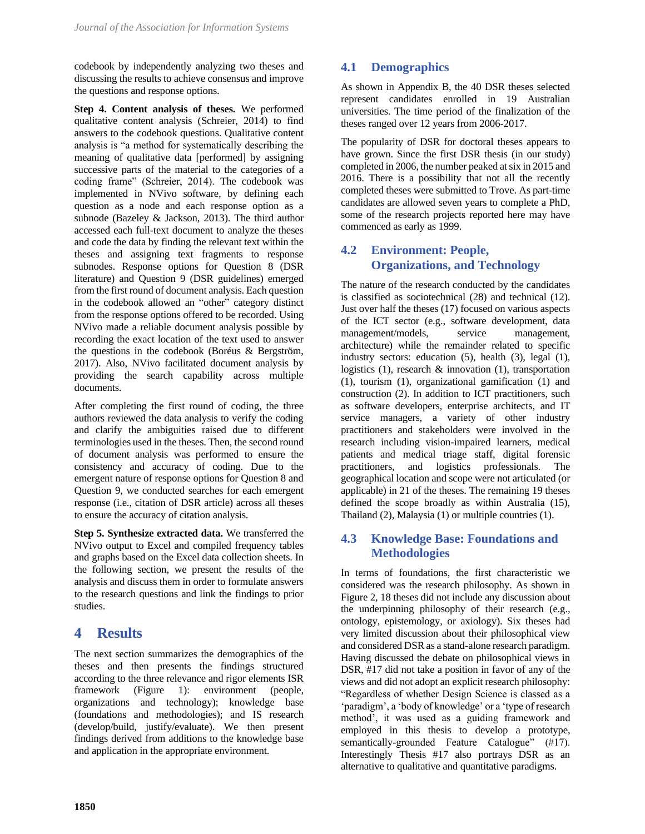codebook by independently analyzing two theses and discussing the results to achieve consensus and improve the questions and response options.

**Step 4. Content analysis of theses.** We performed qualitative content analysis (Schreier, 2014) to find answers to the codebook questions. Qualitative content analysis is "a method for systematically describing the meaning of qualitative data [performed] by assigning successive parts of the material to the categories of a coding frame" (Schreier, 2014). The codebook was implemented in NVivo software, by defining each question as a node and each response option as a subnode (Bazeley & Jackson, 2013). The third author accessed each full-text document to analyze the theses and code the data by finding the relevant text within the theses and assigning text fragments to response subnodes. Response options for Question 8 (DSR literature) and Question 9 (DSR guidelines) emerged from the first round of document analysis. Each question in the codebook allowed an "other" category distinct from the response options offered to be recorded. Using NVivo made a reliable document analysis possible by recording the exact location of the text used to answer the questions in the codebook (Boréus & Bergström, 2017). Also, NVivo facilitated document analysis by providing the search capability across multiple documents.

After completing the first round of coding, the three authors reviewed the data analysis to verify the coding and clarify the ambiguities raised due to different terminologies used in the theses. Then, the second round of document analysis was performed to ensure the consistency and accuracy of coding. Due to the emergent nature of response options for Question 8 and Question 9, we conducted searches for each emergent response (i.e., citation of DSR article) across all theses to ensure the accuracy of citation analysis.

**Step 5. Synthesize extracted data.** We transferred the NVivo output to Excel and compiled frequency tables and graphs based on the Excel data collection sheets. In the following section, we present the results of the analysis and discuss them in order to formulate answers to the research questions and link the findings to prior studies.

# **4 Results**

The next section summarizes the demographics of the theses and then presents the findings structured according to the three relevance and rigor elements ISR framework (Figure 1): environment (people, organizations and technology); knowledge base (foundations and methodologies); and IS research (develop/build, justify/evaluate). We then present findings derived from additions to the knowledge base and application in the appropriate environment.

## **4.1 Demographics**

As shown in Appendix B, the 40 DSR theses selected represent candidates enrolled in 19 Australian universities. The time period of the finalization of the theses ranged over 12 years from 2006-2017.

The popularity of DSR for doctoral theses appears to have grown. Since the first DSR thesis (in our study) completed in 2006, the number peaked at six in 2015 and 2016. There is a possibility that not all the recently completed theses were submitted to Trove. As part-time candidates are allowed seven years to complete a PhD, some of the research projects reported here may have commenced as early as 1999.

## **4.2 Environment: People, Organizations, and Technology**

The nature of the research conducted by the candidates is classified as sociotechnical (28) and technical (12). Just over half the theses (17) focused on various aspects of the ICT sector (e.g., software development, data management/models, service management, architecture) while the remainder related to specific industry sectors: education (5), health (3), legal (1), logistics  $(1)$ , research & innovation  $(1)$ , transportation (1), tourism (1), organizational gamification (1) and construction (2). In addition to ICT practitioners, such as software developers, enterprise architects, and IT service managers, a variety of other industry practitioners and stakeholders were involved in the research including vision-impaired learners, medical patients and medical triage staff, digital forensic practitioners, and logistics professionals. The geographical location and scope were not articulated (or applicable) in 21 of the theses. The remaining 19 theses defined the scope broadly as within Australia (15), Thailand (2), Malaysia (1) or multiple countries (1).

## **4.3 Knowledge Base: Foundations and Methodologies**

In terms of foundations, the first characteristic we considered was the research philosophy. As shown in Figure 2, 18 theses did not include any discussion about the underpinning philosophy of their research (e.g., ontology, epistemology, or axiology). Six theses had very limited discussion about their philosophical view and considered DSR as a stand-alone research paradigm. Having discussed the debate on philosophical views in DSR, #17 did not take a position in favor of any of the views and did not adopt an explicit research philosophy: "Regardless of whether Design Science is classed as a 'paradigm', a 'body of knowledge' or a 'type of research method', it was used as a guiding framework and employed in this thesis to develop a prototype, semantically-grounded Feature Catalogue" (#17). Interestingly Thesis #17 also portrays DSR as an alternative to qualitative and quantitative paradigms.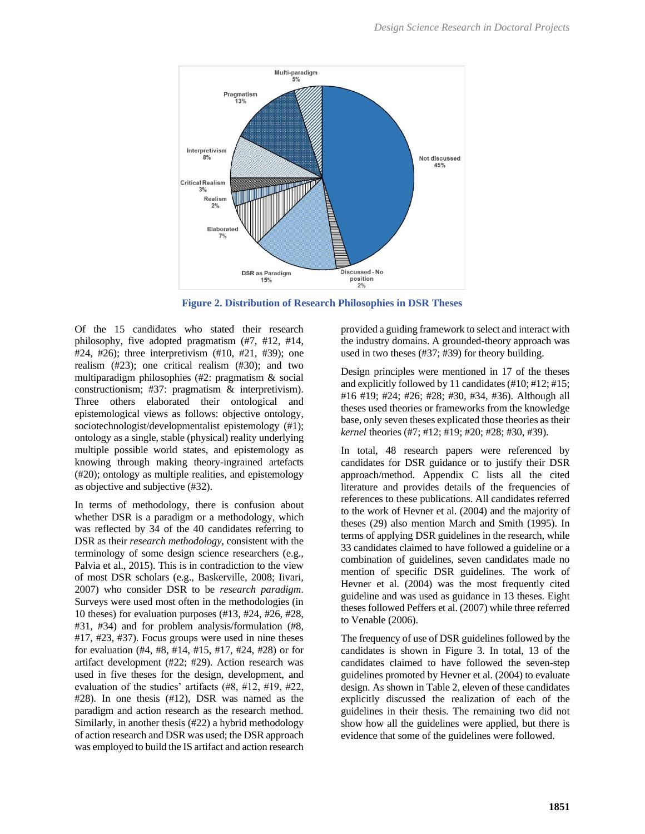

**Figure 2. Distribution of Research Philosophies in DSR Theses**

Of the 15 candidates who stated their research philosophy, five adopted pragmatism (#7, #12, #14, #24, #26); three interpretivism (#10, #21, #39); one realism (#23); one critical realism (#30); and two multiparadigm philosophies (#2: pragmatism & social constructionism; #37: pragmatism & interpretivism). Three others elaborated their ontological and epistemological views as follows: objective ontology, sociotechnologist/developmentalist epistemology (#1); ontology as a single, stable (physical) reality underlying multiple possible world states, and epistemology as knowing through making theory-ingrained artefacts (#20); ontology as multiple realities, and epistemology as objective and subjective (#32).

In terms of methodology, there is confusion about whether DSR is a paradigm or a methodology, which was reflected by 34 of the 40 candidates referring to DSR as their *research methodology,* consistent with the terminology of some design science researchers (e.g., Palvia et al., 2015). This is in contradiction to the view of most DSR scholars (e.g., Baskerville, 2008; Iivari, 2007) who consider DSR to be *research paradigm*. Surveys were used most often in the methodologies (in 10 theses) for evaluation purposes (#13, #24, #26, #28, #31, #34) and for problem analysis/formulation (#8, #17, #23, #37). Focus groups were used in nine theses for evaluation (#4, #8, #14, #15, #17, #24, #28) or for artifact development (#22; #29). Action research was used in five theses for the design, development, and evaluation of the studies' artifacts (#8, #12, #19, #22, #28). In one thesis (#12), DSR was named as the paradigm and action research as the research method. Similarly, in another thesis (#22) a hybrid methodology of action research and DSR was used; the DSR approach was employed to build the IS artifact and action research provided a guiding framework to select and interact with the industry domains. A grounded-theory approach was used in two theses (#37; #39) for theory building.

Design principles were mentioned in 17 of the theses and explicitly followed by 11 candidates (#10; #12; #15; #16 #19; #24; #26; #28; #30, #34, #36). Although all theses used theories or frameworks from the knowledge base, only seven theses explicated those theories as their *kernel* theories (#7; #12; #19; #20; #28; #30, #39).

In total, 48 research papers were referenced by candidates for DSR guidance or to justify their DSR approach/method. Appendix C lists all the cited literature and provides details of the frequencies of references to these publications. All candidates referred to the work of Hevner et al. (2004) and the majority of theses (29) also mention March and Smith (1995). In terms of applying DSR guidelines in the research, while 33 candidates claimed to have followed a guideline or a combination of guidelines, seven candidates made no mention of specific DSR guidelines. The work of Hevner et al. (2004) was the most frequently cited guideline and was used as guidance in 13 theses. Eight theses followed Peffers et al. (2007) while three referred to Venable (2006).

The frequency of use of DSR guidelines followed by the candidates is shown in Figure 3. In total, 13 of the candidates claimed to have followed the seven-step guidelines promoted by Hevner et al. (2004) to evaluate design. As shown in Table 2, eleven of these candidates explicitly discussed the realization of each of the guidelines in their thesis. The remaining two did not show how all the guidelines were applied, but there is evidence that some of the guidelines were followed.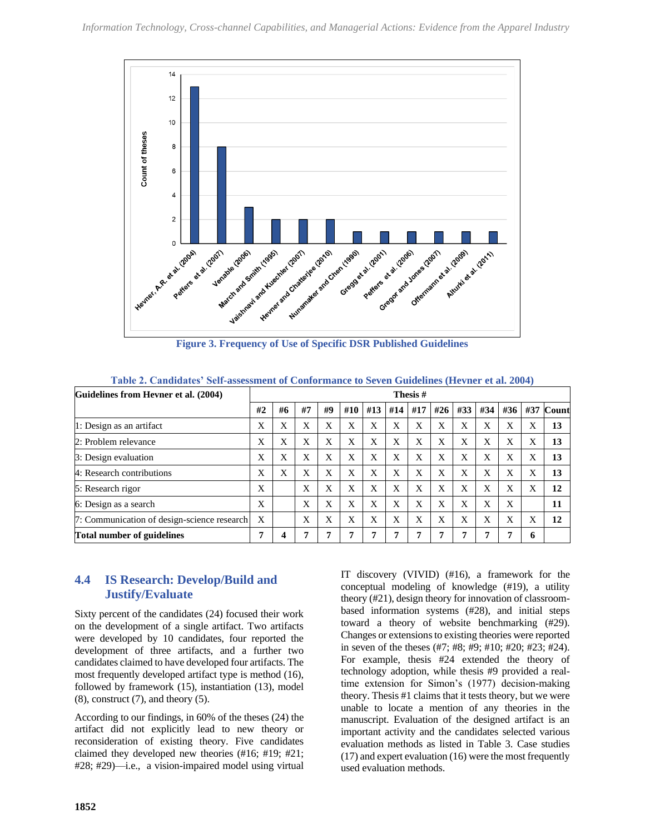

**Figure 3. Frequency of Use of Specific DSR Published Guidelines**

| Guidelines from Hevner et al. (2004)        |    |    |    |    |     |     |     | Thesis # |     |     |     |     |   |           |
|---------------------------------------------|----|----|----|----|-----|-----|-----|----------|-----|-----|-----|-----|---|-----------|
|                                             | #2 | #6 | #7 | #9 | #10 | #13 | #14 | #17      | #26 | #33 | #34 | #36 |   | #37 Count |
| 1: Design as an artifact                    | X  | Χ  | X  | X  | X   | X   | X   | X        | X   | X   | X   | X   | X | 13        |
| 2: Problem relevance                        | X  | Χ  | X  | X  | X   | X   | X   | X        | X   | X   | X   | X   | X | 13        |
| 3: Design evaluation                        | X  | X  | X  | X  | X   | X   | X   | X        | X   | X   | X   | X   | X | 13        |
| 4: Research contributions                   | X  | X  | X  | X  | X   | X   | X   | X        | X   | X   | X   | X   | X | 13        |
| 5: Research rigor                           | X  |    | X  | X  | X   | X   | X   | X        | X   | X   | X   | X   | X | 12        |
| 6: Design as a search                       | X  |    | X  | X  | X   | X   | X   | X        | X   | X   | X   | X   |   | 11        |
| 7: Communication of design-science research | X  |    | X  | X  | X   | X   | X   | X        | X   | X   | X   | X   | X | 12        |
| <b>Total number of guidelines</b>           | 7  | 4  | ,  |    |     | Η,  | 7   |          | 7   | п,  | 7   |     | 6 |           |

**Table 2. Candidates' Self-assessment of Conformance to Seven Guidelines (Hevner et al. 2004)**

## **4.4 IS Research: Develop/Build and Justify/Evaluate**

Sixty percent of the candidates (24) focused their work on the development of a single artifact. Two artifacts were developed by 10 candidates, four reported the development of three artifacts, and a further two candidates claimed to have developed four artifacts. The most frequently developed artifact type is method (16), followed by framework (15), instantiation (13), model  $(8)$ , construct  $(7)$ , and theory  $(5)$ .

According to our findings, in 60% of the theses (24) the artifact did not explicitly lead to new theory or reconsideration of existing theory. Five candidates claimed they developed new theories (#16; #19; #21; #28; #29)—i.e., a vision-impaired model using virtual IT discovery (VIVID) (#16), a framework for the conceptual modeling of knowledge (#19), a utility theory (#21), design theory for innovation of classroombased information systems (#28), and initial steps toward a theory of website benchmarking (#29). Changes or extensions to existing theories were reported in seven of the theses (#7; #8; #9; #10; #20; #23; #24). For example, thesis #24 extended the theory of technology adoption, while thesis #9 provided a realtime extension for Simon's (1977) decision-making theory. Thesis #1 claims that it tests theory, but we were unable to locate a mention of any theories in the manuscript. Evaluation of the designed artifact is an important activity and the candidates selected various evaluation methods as listed in Table 3. Case studies (17) and expert evaluation (16) were the most frequently used evaluation methods.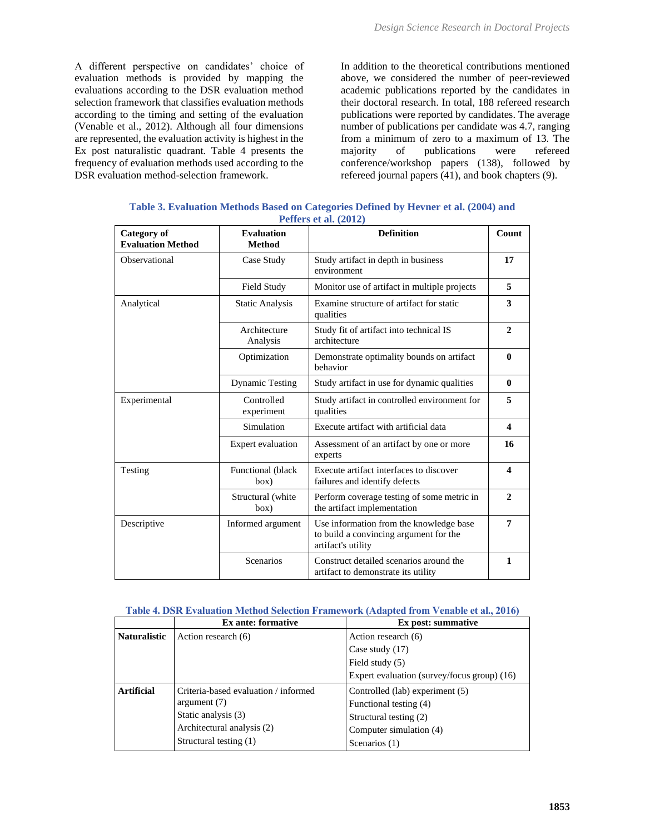A different perspective on candidates' choice of evaluation methods is provided by mapping the evaluations according to the DSR evaluation method selection framework that classifies evaluation methods according to the timing and setting of the evaluation (Venable et al., 2012). Although all four dimensions are represented, the evaluation activity is highest in the Ex post naturalistic quadrant. Table 4 presents the frequency of evaluation methods used according to the DSR evaluation method-selection framework.

In addition to the theoretical contributions mentioned above, we considered the number of peer-reviewed academic publications reported by the candidates in their doctoral research. In total, 188 refereed research publications were reported by candidates. The average number of publications per candidate was 4.7, ranging from a minimum of zero to a maximum of 13. The majority of publications were refereed conference/workshop papers (138), followed by refereed journal papers (41), and book chapters (9).

| Table 3. Evaluation Methods Based on Categories Defined by Hevner et al. (2004) and |  |
|-------------------------------------------------------------------------------------|--|
| Peffers et al. (2012)                                                               |  |

| <b>Category</b> of<br><b>Evaluation Method</b> | <b>Evaluation</b><br><b>Method</b> | <b>Definition</b>                                                                                       | Count                   |
|------------------------------------------------|------------------------------------|---------------------------------------------------------------------------------------------------------|-------------------------|
| Observational                                  | Case Study                         | Study artifact in depth in business<br>environment                                                      | 17                      |
|                                                | Field Study                        | Monitor use of artifact in multiple projects                                                            | 5                       |
| Analytical                                     | <b>Static Analysis</b>             | Examine structure of artifact for static<br>qualities                                                   | 3                       |
|                                                | Architecture<br>Analysis           | Study fit of artifact into technical IS<br>architecture                                                 | $\overline{2}$          |
|                                                | Optimization                       | Demonstrate optimality bounds on artifact<br>behavior                                                   | $\bf{0}$                |
|                                                | <b>Dynamic Testing</b>             | Study artifact in use for dynamic qualities                                                             | $\bf{0}$                |
| Experimental                                   | Controlled<br>experiment           | Study artifact in controlled environment for<br>qualities                                               | 5                       |
|                                                | Simulation                         | Execute artifact with artificial data                                                                   | $\overline{\mathbf{4}}$ |
|                                                | Expert evaluation                  | Assessment of an artifact by one or more<br>experts                                                     | 16                      |
| Testing                                        | Functional (black<br>box)          | Execute artifact interfaces to discover<br>failures and identify defects                                | $\boldsymbol{4}$        |
|                                                | Structural (white<br>box)          | Perform coverage testing of some metric in<br>the artifact implementation                               | $\overline{2}$          |
| Descriptive                                    | Informed argument                  | Use information from the knowledge base<br>to build a convincing argument for the<br>artifact's utility | 7                       |
|                                                | Scenarios                          | Construct detailed scenarios around the<br>artifact to demonstrate its utility                          | 1                       |

#### **Table 4. DSR Evaluation Method Selection Framework (Adapted from Venable et al., 2016)**

|                     | Ex ante: formative                   | Ex post: summative                          |
|---------------------|--------------------------------------|---------------------------------------------|
| <b>Naturalistic</b> | Action research (6)                  | Action research (6)                         |
|                     |                                      | Case study $(17)$                           |
|                     |                                      | Field study (5)                             |
|                     |                                      | Expert evaluation (survey/focus group) (16) |
| Artificial          | Criteria-based evaluation / informed | Controlled (lab) experiment (5)             |
|                     | argument $(7)$                       | Functional testing (4)                      |
|                     | Static analysis (3)                  | Structural testing (2)                      |
|                     | Architectural analysis (2)           | Computer simulation (4)                     |
|                     | Structural testing (1)               | Scenarios (1)                               |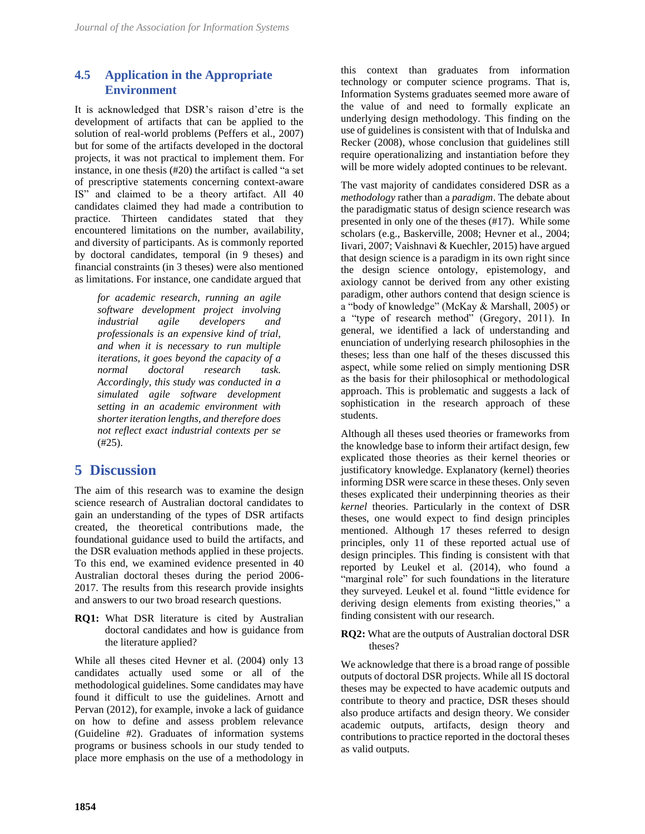### **4.5 Application in the Appropriate Environment**

It is acknowledged that DSR's raison d'etre is the development of artifacts that can be applied to the solution of real-world problems (Peffers et al., 2007) but for some of the artifacts developed in the doctoral projects, it was not practical to implement them. For instance, in one thesis (#20) the artifact is called "a set of prescriptive statements concerning context-aware IS" and claimed to be a theory artifact. All 40 candidates claimed they had made a contribution to practice. Thirteen candidates stated that they encountered limitations on the number, availability, and diversity of participants. As is commonly reported by doctoral candidates, temporal (in 9 theses) and financial constraints (in 3 theses) were also mentioned as limitations. For instance, one candidate argued that

*for academic research, running an agile software development project involving industrial agile developers and professionals is an expensive kind of trial, and when it is necessary to run multiple iterations, it goes beyond the capacity of a normal doctoral research task. Accordingly, this study was conducted in a simulated agile software development setting in an academic environment with shorter iteration lengths, and therefore does not reflect exact industrial contexts per se*  (#25).

# **5 Discussion**

The aim of this research was to examine the design science research of Australian doctoral candidates to gain an understanding of the types of DSR artifacts created, the theoretical contributions made, the foundational guidance used to build the artifacts, and the DSR evaluation methods applied in these projects. To this end, we examined evidence presented in 40 Australian doctoral theses during the period 2006- 2017. The results from this research provide insights and answers to our two broad research questions.

**RQ1:** What DSR literature is cited by Australian doctoral candidates and how is guidance from the literature applied?

While all theses cited Hevner et al. (2004) only 13 candidates actually used some or all of the methodological guidelines. Some candidates may have found it difficult to use the guidelines. Arnott and Pervan (2012), for example, invoke a lack of guidance on how to define and assess problem relevance (Guideline #2). Graduates of information systems programs or business schools in our study tended to place more emphasis on the use of a methodology in

this context than graduates from information technology or computer science programs. That is, Information Systems graduates seemed more aware of the value of and need to formally explicate an underlying design methodology. This finding on the use of guidelines is consistent with that of Indulska and Recker (2008), whose conclusion that guidelines still require operationalizing and instantiation before they will be more widely adopted continues to be relevant.

The vast majority of candidates considered DSR as a *methodology* rather than a *paradigm*. The debate about the paradigmatic status of design science research was presented in only one of the theses (#17). While some scholars (e.g., Baskerville, 2008; Hevner et al., 2004; Iivari, 2007; Vaishnavi & Kuechler, 2015) have argued that design science is a paradigm in its own right since the design science ontology, epistemology, and axiology cannot be derived from any other existing paradigm, other authors contend that design science is a "body of knowledge" (McKay & Marshall, 2005) or a "type of research method" (Gregory, 2011). In general, we identified a lack of understanding and enunciation of underlying research philosophies in the theses; less than one half of the theses discussed this aspect, while some relied on simply mentioning DSR as the basis for their philosophical or methodological approach. This is problematic and suggests a lack of sophistication in the research approach of these students.

Although all theses used theories or frameworks from the knowledge base to inform their artifact design, few explicated those theories as their kernel theories or justificatory knowledge. Explanatory (kernel) theories informing DSR were scarce in these theses. Only seven theses explicated their underpinning theories as their *kernel* theories. Particularly in the context of DSR theses, one would expect to find design principles mentioned. Although 17 theses referred to design principles, only 11 of these reported actual use of design principles. This finding is consistent with that reported by Leukel et al. (2014), who found a "marginal role" for such foundations in the literature they surveyed. Leukel et al. found "little evidence for deriving design elements from existing theories," a finding consistent with our research.

**RQ2:** What are the outputs of Australian doctoral DSR theses?

We acknowledge that there is a broad range of possible outputs of doctoral DSR projects. While all IS doctoral theses may be expected to have academic outputs and contribute to theory and practice, DSR theses should also produce artifacts and design theory. We consider academic outputs, artifacts, design theory and contributions to practice reported in the doctoral theses as valid outputs.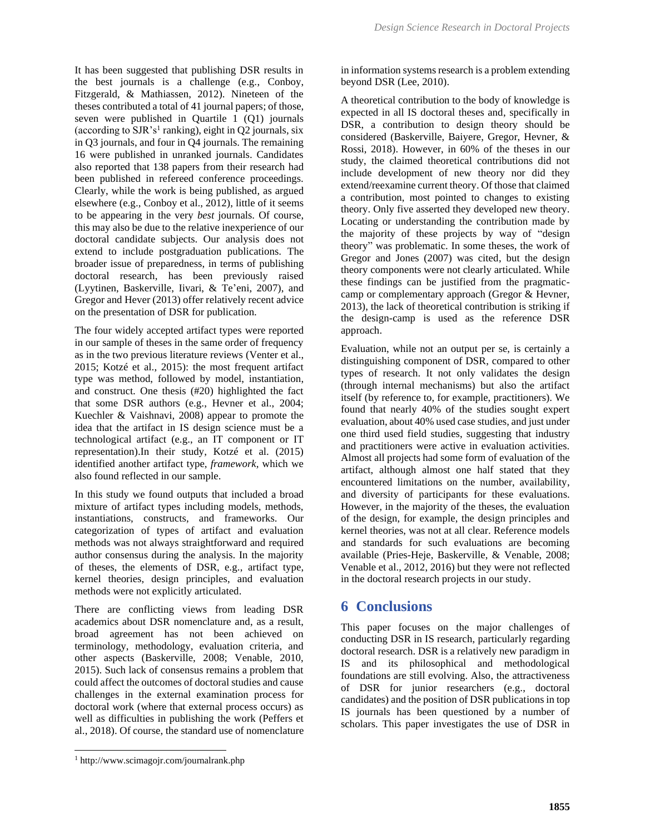It has been suggested that publishing DSR results in the best journals is a challenge (e.g., Conboy, Fitzgerald, & Mathiassen, 2012). Nineteen of the theses contributed a total of 41 journal papers; of those, seven were published in Quartile 1 (Q1) journals (according to  $SIR's<sup>1</sup>$  ranking), eight in Q2 journals, six in Q3 journals, and four in Q4 journals. The remaining 16 were published in unranked journals. Candidates also reported that 138 papers from their research had been published in refereed conference proceedings. Clearly, while the work is being published, as argued elsewhere (e.g., Conboy et al., 2012), little of it seems to be appearing in the very *best* journals. Of course, this may also be due to the relative inexperience of our doctoral candidate subjects. Our analysis does not extend to include postgraduation publications. The broader issue of preparedness, in terms of publishing doctoral research, has been previously raised (Lyytinen, Baskerville, Iivari, & Te'eni, 2007), and Gregor and Hever (2013) offer relatively recent advice on the presentation of DSR for publication.

The four widely accepted artifact types were reported in our sample of theses in the same order of frequency as in the two previous literature reviews (Venter et al., 2015; Kotzé et al., 2015): the most frequent artifact type was method, followed by model, instantiation, and construct. One thesis (#20) highlighted the fact that some DSR authors (e.g., Hevner et al., 2004; Kuechler & Vaishnavi, 2008) appear to promote the idea that the artifact in IS design science must be a technological artifact (e.g., an IT component or IT representation).In their study, Kotzé et al. (2015) identified another artifact type, *framework,* which we also found reflected in our sample.

In this study we found outputs that included a broad mixture of artifact types including models, methods, instantiations, constructs, and frameworks. Our categorization of types of artifact and evaluation methods was not always straightforward and required author consensus during the analysis. In the majority of theses, the elements of DSR, e.g., artifact type, kernel theories, design principles, and evaluation methods were not explicitly articulated.

There are conflicting views from leading DSR academics about DSR nomenclature and, as a result, broad agreement has not been achieved on terminology, methodology, evaluation criteria, and other aspects (Baskerville, 2008; Venable, 2010, 2015). Such lack of consensus remains a problem that could affect the outcomes of doctoral studies and cause challenges in the external examination process for doctoral work (where that external process occurs) as well as difficulties in publishing the work (Peffers et al., 2018). Of course, the standard use of nomenclature in information systems research is a problem extending beyond DSR (Lee, 2010).

A theoretical contribution to the body of knowledge is expected in all IS doctoral theses and, specifically in DSR, a contribution to design theory should be considered (Baskerville, Baiyere, Gregor, Hevner, & Rossi, 2018). However, in 60% of the theses in our study, the claimed theoretical contributions did not include development of new theory nor did they extend/reexamine current theory. Of those that claimed a contribution, most pointed to changes to existing theory. Only five asserted they developed new theory. Locating or understanding the contribution made by the majority of these projects by way of "design theory" was problematic. In some theses, the work of Gregor and Jones (2007) was cited, but the design theory components were not clearly articulated. While these findings can be justified from the pragmaticcamp or complementary approach (Gregor & Hevner, 2013), the lack of theoretical contribution is striking if the design-camp is used as the reference DSR approach.

Evaluation, while not an output per se, is certainly a distinguishing component of DSR, compared to other types of research. It not only validates the design (through internal mechanisms) but also the artifact itself (by reference to, for example, practitioners). We found that nearly 40% of the studies sought expert evaluation, about 40% used case studies, and just under one third used field studies, suggesting that industry and practitioners were active in evaluation activities. Almost all projects had some form of evaluation of the artifact, although almost one half stated that they encountered limitations on the number, availability, and diversity of participants for these evaluations. However, in the majority of the theses, the evaluation of the design, for example, the design principles and kernel theories, was not at all clear. Reference models and standards for such evaluations are becoming available (Pries-Heje, Baskerville, & Venable, 2008; Venable et al., 2012, 2016) but they were not reflected in the doctoral research projects in our study.

# **6 Conclusions**

This paper focuses on the major challenges of conducting DSR in IS research, particularly regarding doctoral research. DSR is a relatively new paradigm in IS and its philosophical and methodological foundations are still evolving. Also, the attractiveness of DSR for junior researchers (e.g., doctoral candidates) and the position of DSR publications in top IS journals has been questioned by a number of scholars. This paper investigates the use of DSR in

<sup>1</sup> http://www.scimagojr.com/journalrank.php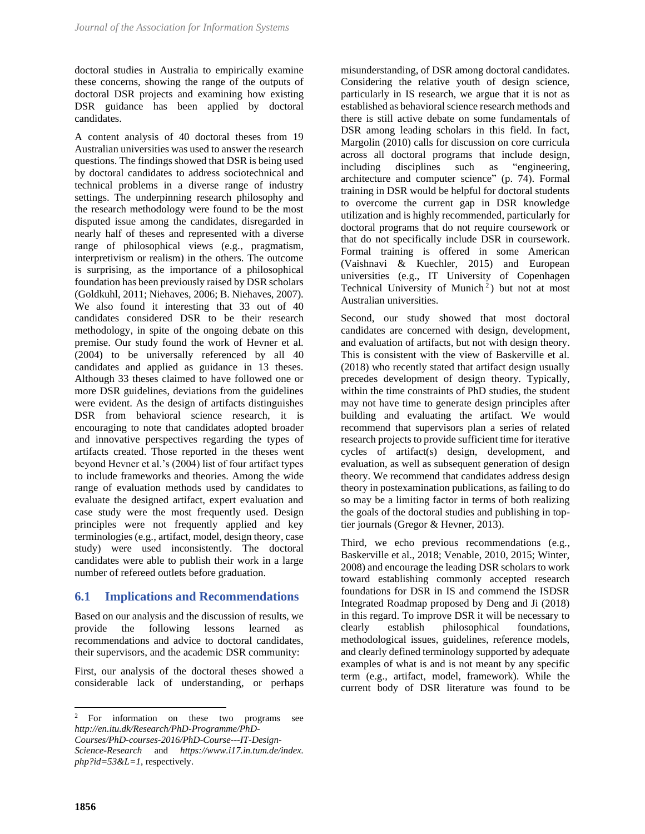doctoral studies in Australia to empirically examine these concerns, showing the range of the outputs of doctoral DSR projects and examining how existing DSR guidance has been applied by doctoral candidates.

A content analysis of 40 doctoral theses from 19 Australian universities was used to answer the research questions. The findings showed that DSR is being used by doctoral candidates to address sociotechnical and technical problems in a diverse range of industry settings. The underpinning research philosophy and the research methodology were found to be the most disputed issue among the candidates, disregarded in nearly half of theses and represented with a diverse range of philosophical views (e.g., pragmatism, interpretivism or realism) in the others. The outcome is surprising, as the importance of a philosophical foundation has been previously raised by DSR scholars (Goldkuhl, 2011; Niehaves, 2006; B. Niehaves, 2007). We also found it interesting that 33 out of 40 candidates considered DSR to be their research methodology, in spite of the ongoing debate on this premise. Our study found the work of Hevner et al. (2004) to be universally referenced by all 40 candidates and applied as guidance in 13 theses. Although 33 theses claimed to have followed one or more DSR guidelines, deviations from the guidelines were evident. As the design of artifacts distinguishes DSR from behavioral science research, it is encouraging to note that candidates adopted broader and innovative perspectives regarding the types of artifacts created. Those reported in the theses went beyond Hevner et al.'s (2004) list of four artifact types to include frameworks and theories. Among the wide range of evaluation methods used by candidates to evaluate the designed artifact, expert evaluation and case study were the most frequently used. Design principles were not frequently applied and key terminologies (e.g., artifact, model, design theory, case study) were used inconsistently. The doctoral candidates were able to publish their work in a large number of refereed outlets before graduation.

#### **6.1 Implications and Recommendations**

Based on our analysis and the discussion of results, we provide the following lessons learned as recommendations and advice to doctoral candidates, their supervisors, and the academic DSR community:

First, our analysis of the doctoral theses showed a considerable lack of understanding, or perhaps

misunderstanding, of DSR among doctoral candidates. Considering the relative youth of design science, particularly in IS research, we argue that it is not as established as behavioral science research methods and there is still active debate on some fundamentals of DSR among leading scholars in this field. In fact, Margolin (2010) calls for discussion on core curricula across all doctoral programs that include design, including disciplines such as "engineering, architecture and computer science" (p. 74). Formal training in DSR would be helpful for doctoral students to overcome the current gap in DSR knowledge utilization and is highly recommended, particularly for doctoral programs that do not require coursework or that do not specifically include DSR in coursework. Formal training is offered in some American (Vaishnavi & Kuechler, 2015) and European universities (e.g., IT University of Copenhagen Technical University of Munich<sup>2</sup>) but not at most Australian universities.

Second, our study showed that most doctoral candidates are concerned with design, development, and evaluation of artifacts, but not with design theory. This is consistent with the view of Baskerville et al. (2018) who recently stated that artifact design usually precedes development of design theory. Typically, within the time constraints of PhD studies, the student may not have time to generate design principles after building and evaluating the artifact. We would recommend that supervisors plan a series of related research projects to provide sufficient time for iterative cycles of artifact(s) design, development, and evaluation, as well as subsequent generation of design theory. We recommend that candidates address design theory in postexamination publications, as failing to do so may be a limiting factor in terms of both realizing the goals of the doctoral studies and publishing in toptier journals (Gregor & Hevner, 2013).

Third, we echo previous recommendations (e.g., Baskerville et al., 2018; Venable, 2010, 2015; Winter, 2008) and encourage the leading DSR scholars to work toward establishing commonly accepted research foundations for DSR in IS and commend the ISDSR Integrated Roadmap proposed by Deng and Ji (2018) in this regard. To improve DSR it will be necessary to clearly establish philosophical foundations, methodological issues, guidelines, reference models, and clearly defined terminology supported by adequate examples of what is and is not meant by any specific term (e.g., artifact, model, framework). While the current body of DSR literature was found to be

<sup>&</sup>lt;sup>2</sup> For information on these two programs see *http://en.itu.dk/Research/PhD-Programme/PhD-Courses/PhD-courses-2016/PhD-Course---IT-Design-Science-Research* and *https://www.i17.in.tum.de/index. php?id=53&L=1*, respectively.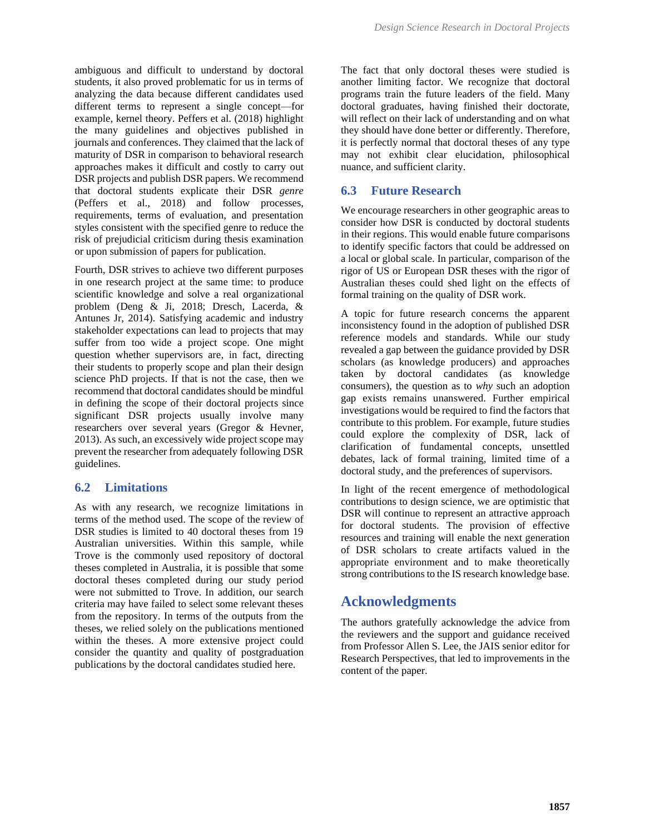ambiguous and difficult to understand by doctoral students, it also proved problematic for us in terms of analyzing the data because different candidates used different terms to represent a single concept—for example, kernel theory. Peffers et al. (2018) highlight the many guidelines and objectives published in journals and conferences. They claimed that the lack of maturity of DSR in comparison to behavioral research approaches makes it difficult and costly to carry out DSR projects and publish DSR papers. We recommend that doctoral students explicate their DSR *genre*  (Peffers et al., 2018) and follow processes, requirements, terms of evaluation, and presentation styles consistent with the specified genre to reduce the risk of prejudicial criticism during thesis examination or upon submission of papers for publication.

Fourth, DSR strives to achieve two different purposes in one research project at the same time: to produce scientific knowledge and solve a real organizational problem (Deng & Ji, 2018; Dresch, Lacerda, & Antunes Jr, 2014). Satisfying academic and industry stakeholder expectations can lead to projects that may suffer from too wide a project scope. One might question whether supervisors are, in fact, directing their students to properly scope and plan their design science PhD projects. If that is not the case, then we recommend that doctoral candidates should be mindful in defining the scope of their doctoral projects since significant DSR projects usually involve many researchers over several years (Gregor & Hevner, 2013). As such, an excessively wide project scope may prevent the researcher from adequately following DSR guidelines.

#### **6.2 Limitations**

As with any research, we recognize limitations in terms of the method used. The scope of the review of DSR studies is limited to 40 doctoral theses from 19 Australian universities. Within this sample, while Trove is the commonly used repository of doctoral theses completed in Australia, it is possible that some doctoral theses completed during our study period were not submitted to Trove. In addition, our search criteria may have failed to select some relevant theses from the repository. In terms of the outputs from the theses, we relied solely on the publications mentioned within the theses. A more extensive project could consider the quantity and quality of postgraduation publications by the doctoral candidates studied here.

The fact that only doctoral theses were studied is another limiting factor. We recognize that doctoral programs train the future leaders of the field. Many doctoral graduates, having finished their doctorate, will reflect on their lack of understanding and on what they should have done better or differently. Therefore, it is perfectly normal that doctoral theses of any type may not exhibit clear elucidation, philosophical nuance, and sufficient clarity.

#### **6.3 Future Research**

We encourage researchers in other geographic areas to consider how DSR is conducted by doctoral students in their regions. This would enable future comparisons to identify specific factors that could be addressed on a local or global scale. In particular, comparison of the rigor of US or European DSR theses with the rigor of Australian theses could shed light on the effects of formal training on the quality of DSR work.

A topic for future research concerns the apparent inconsistency found in the adoption of published DSR reference models and standards. While our study revealed a gap between the guidance provided by DSR scholars (as knowledge producers) and approaches taken by doctoral candidates (as knowledge consumers), the question as to *why* such an adoption gap exists remains unanswered. Further empirical investigations would be required to find the factors that contribute to this problem. For example, future studies could explore the complexity of DSR, lack of clarification of fundamental concepts, unsettled debates, lack of formal training, limited time of a doctoral study, and the preferences of supervisors.

In light of the recent emergence of methodological contributions to design science, we are optimistic that DSR will continue to represent an attractive approach for doctoral students. The provision of effective resources and training will enable the next generation of DSR scholars to create artifacts valued in the appropriate environment and to make theoretically strong contributions to the IS research knowledge base.

# **Acknowledgments**

The authors gratefully acknowledge the advice from the reviewers and the support and guidance received from Professor Allen S. Lee, the JAIS senior editor for Research Perspectives, that led to improvements in the content of the paper.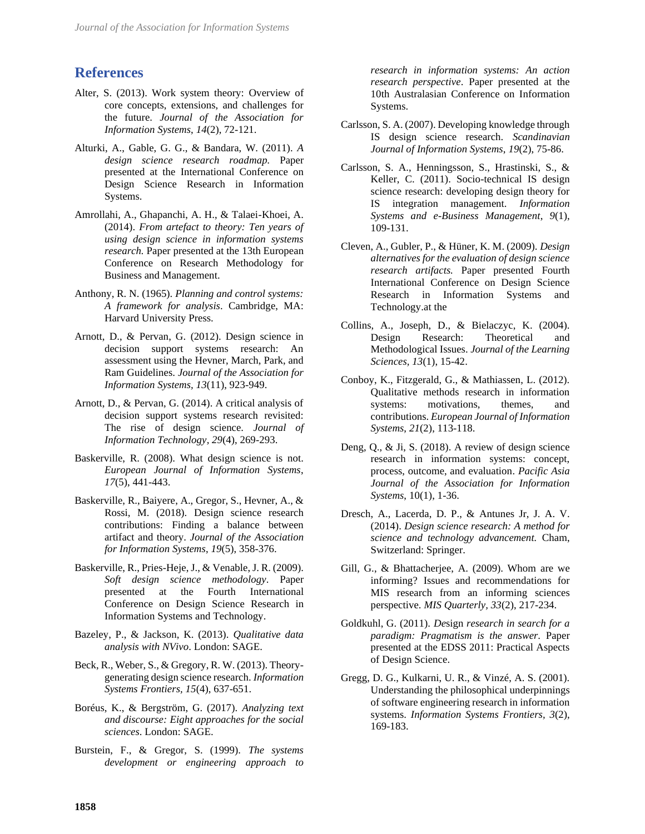# **References**

- Alter, S. (2013). Work system theory: Overview of core concepts, extensions, and challenges for the future. *Journal of the Association for Information Systems*, *14*(2), 72-121.
- Alturki, A., Gable, G. G., & Bandara, W. (2011). *A design science research roadmap.* Paper presented at the International Conference on Design Science Research in Information Systems.
- Amrollahi, A., Ghapanchi, A. H., & Talaei-Khoei, A. (2014). *From artefact to theory: Ten years of using design science in information systems research.* Paper presented at the 13th European Conference on Research Methodology for Business and Management.
- Anthony, R. N. (1965). *Planning and control systems: A framework for analysis*. Cambridge, MA: Harvard University Press.
- Arnott, D., & Pervan, G. (2012). Design science in decision support systems research: An assessment using the Hevner, March, Park, and Ram Guidelines. *Journal of the Association for Information Systems, 13*(11), 923-949.
- Arnott, D., & Pervan, G. (2014). A critical analysis of decision support systems research revisited: The rise of design science. *Journal of Information Technology, 29*(4), 269-293.
- Baskerville, R. (2008). What design science is not. *European Journal of Information Systems*, *17*(5), 441-443.
- Baskerville, R., Baiyere, A., Gregor, S., Hevner, A., & Rossi, M. (2018). Design science research contributions: Finding a balance between artifact and theory. *Journal of the Association for Information Systems*, *19*(5), 358-376.
- Baskerville, R., Pries-Heje, J., & Venable, J. R. (2009). *Soft design science methodology*. Paper presented at the Fourth International Conference on Design Science Research in Information Systems and Technology.
- Bazeley, P., & Jackson, K. (2013). *Qualitative data analysis with NVivo*. London: SAGE.
- Beck, R., Weber, S., & Gregory, R. W. (2013). Theorygenerating design science research. *Information Systems Frontiers, 15*(4), 637-651.
- Boréus, K., & Bergström, G. (2017). *Analyzing text and discourse: Eight approaches for the social sciences*. London: SAGE.
- Burstein, F., & Gregor, S. (1999). *The systems development or engineering approach to*

*research in information systems: An action research perspective*. Paper presented at the 10th Australasian Conference on Information Systems.

- Carlsson, S. A. (2007). Developing knowledge through IS design science research. *Scandinavian Journal of Information Systems*, *19*(2), 75-86.
- Carlsson, S. A., Henningsson, S., Hrastinski, S., & Keller, C. (2011). Socio-technical IS design science research: developing design theory for IS integration management. *Information Systems and e-Business Management*, *9*(1), 109-131.
- Cleven, A., Gubler, P., & Hüner, K. M. (2009). *Design alternatives for the evaluation of design science research artifacts.* Paper presented Fourth International Conference on Design Science Research in Information Systems and Technology.at the
- Collins, A., Joseph, D., & Bielaczyc, K. (2004). Design Research: Theoretical and Methodological Issues. *Journal of the Learning Sciences, 13*(1), 15-42.
- Conboy, K., Fitzgerald, G., & Mathiassen, L. (2012). Qualitative methods research in information systems: motivations, themes, and contributions. *European Journal of Information Systems*, *21*(2), 113-118.
- Deng, Q., & Ji, S. (2018). A review of design science research in information systems: concept, process, outcome, and evaluation. *Pacific Asia Journal of the Association for Information Systems*, 10(1), 1-36.
- Dresch, A., Lacerda, D. P., & Antunes Jr, J. A. V. (2014). *Design science research: A method for science and technology advancement.* Cham, Switzerland: Springer.
- Gill, G., & Bhattacherjee, A. (2009). Whom are we informing? Issues and recommendations for MIS research from an informing sciences perspective. *MIS Quarterly, 33*(2), 217-234.
- Goldkuhl, G. (2011). *De*sign *research in search for a paradigm: Pragmatism is the answer*. Paper presented at the EDSS 2011: Practical Aspects of Design Science.
- Gregg, D. G., Kulkarni, U. R., & Vinzé, A. S. (2001). Understanding the philosophical underpinnings of software engineering research in information systems. *Information Systems Frontiers, 3*(2), 169-183.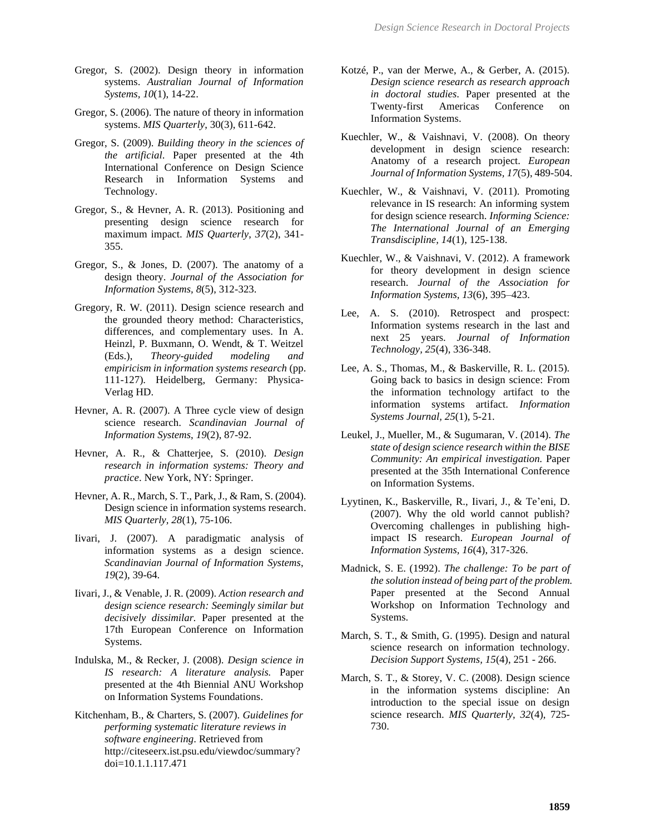- Gregor, S. (2002). Design theory in information systems. *Australian Journal of Information Systems, 10*(1), 14-22.
- Gregor, S. (2006). The nature of theory in information systems. *MIS Quarterly*, 30(3), 611-642.
- Gregor, S. (2009). *Building theory in the sciences of the artificial*. Paper presented at the 4th International Conference on Design Science Research in Information Systems and Technology.
- Gregor, S., & Hevner, A. R. (2013). Positioning and presenting design science research for maximum impact. *MIS Quarterly*, *37*(2), 341- 355.
- Gregor, S., & Jones, D. (2007). The anatomy of a design theory. *Journal of the Association for Information Systems, 8*(5), 312-323.
- Gregory, R. W. (2011). Design science research and the grounded theory method: Characteristics, differences, and complementary uses. In A. Heinzl, P. Buxmann, O. Wendt, & T. Weitzel (Eds.), *Theory-guided modeling and empiricism in information systems research* (pp. 111-127). Heidelberg, Germany: Physica-Verlag HD.
- Hevner, A. R. (2007). A Three cycle view of design science research. *Scandinavian Journal of Information Systems*, *19*(2), 87-92.
- Hevner, A. R., & Chatterjee, S. (2010). *Design research in information systems: Theory and practice*. New York, NY: Springer.
- Hevner, A. R., March, S. T., Park, J., & Ram, S. (2004). Design science in information systems research. *MIS Quarterly, 28*(1), 75-106.
- Iivari, J. (2007). A paradigmatic analysis of information systems as a design science. *Scandinavian Journal of Information Systems*, *19*(2), 39-64.
- Iivari, J., & Venable, J. R. (2009). *Action research and design science research: Seemingly similar but decisively dissimilar.* Paper presented at the 17th European Conference on Information Systems.
- Indulska, M., & Recker, J. (2008). *Design science in IS research: A literature analysis.* Paper presented at the 4th Biennial ANU Workshop on Information Systems Foundations.
- Kitchenham, B., & Charters, S. (2007). *Guidelines for performing systematic literature reviews in software engineering*. Retrieved from http://citeseerx.ist.psu.edu/viewdoc/summary? doi=10.1.1.117.471
- Kotzé, P., van der Merwe, A., & Gerber, A. (2015). *Design science research as research approach in doctoral studies*. Paper presented at the Twenty-first Americas Conference on Information Systems.
- Kuechler, W., & Vaishnavi, V. (2008). On theory development in design science research: Anatomy of a research project. *European Journal of Information Systems, 17*(5), 489-504.
- Kuechler, W., & Vaishnavi, V. (2011). Promoting relevance in IS research: An informing system for design science research. *Informing Science: The International Journal of an Emerging Transdiscipline, 14*(1), 125-138.
- Kuechler, W., & Vaishnavi, V. (2012). A framework for theory development in design science research. *Journal of the Association for Information Systems, 13*(6), 395–423.
- Lee, A. S. (2010). Retrospect and prospect: Information systems research in the last and next 25 years. *Journal of Information Technology, 25*(4), 336-348.
- Lee, A. S., Thomas, M., & Baskerville, R. L. (2015). Going back to basics in design science: From the information technology artifact to the information systems artifact. *Information Systems Journal, 25*(1), 5-21.
- Leukel, J., Mueller, M., & Sugumaran, V. (2014). *The state of design science research within the BISE Community: An empirical investigation.* Paper presented at the 35th International Conference on Information Systems.
- Lyytinen, K., Baskerville, R., Iivari, J., & Te'eni, D. (2007). Why the old world cannot publish? Overcoming challenges in publishing highimpact IS research. *European Journal of Information Systems, 16*(4), 317-326.
- Madnick, S. E. (1992). *The challenge: To be part of the solution instead of being part of the problem.* Paper presented at the Second Annual Workshop on Information Technology and Systems.
- March, S. T., & Smith, G. (1995). Design and natural science research on information technology. *Decision Support Systems, 15*(4), 251 - 266.
- March, S. T., & Storey, V. C. (2008). Design science in the information systems discipline: An introduction to the special issue on design science research. *MIS Quarterly, 32*(4), 725- 730.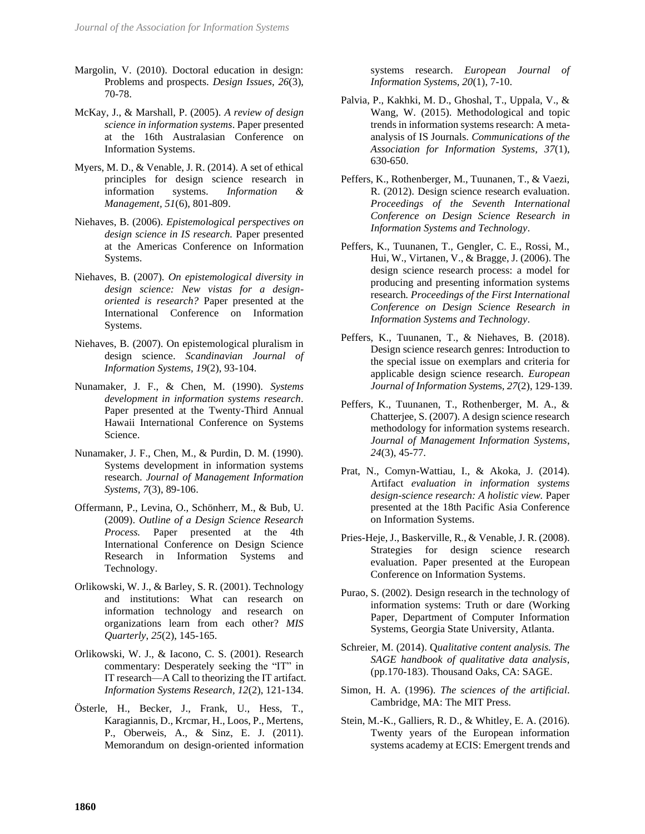- Margolin, V. (2010). Doctoral education in design: Problems and prospects. *Design Issues, 26*(3), 70-78.
- McKay, J., & Marshall, P. (2005). *A review of design science in information systems*. Paper presented at the 16th Australasian Conference on Information Systems.
- Myers, M. D., & Venable, J. R. (2014). A set of ethical principles for design science research in information systems. *Information & Management, 51*(6), 801-809.
- Niehaves, B. (2006). *Epistemological perspectives on design science in IS research.* Paper presented at the Americas Conference on Information Systems.
- Niehaves, B. (2007). *On epistemological diversity in design science: New vistas for a designoriented is research?* Paper presented at the International Conference on Information Systems.
- Niehaves, B. (2007). On epistemological pluralism in design science. *Scandinavian Journal of Information Systems, 19*(2), 93-104.
- Nunamaker, J. F., & Chen, M. (1990). *Systems development in information systems research*. Paper presented at the Twenty-Third Annual Hawaii International Conference on Systems Science.
- Nunamaker, J. F., Chen, M., & Purdin, D. M. (1990). Systems development in information systems research. *Journal of Management Information Systems, 7*(3), 89-106.
- Offermann, P., Levina, O., Schönherr, M., & Bub, U. (2009). *Outline of a Design Science Research Process.* Paper presented at the 4th International Conference on Design Science Research in Information Systems and Technology.
- Orlikowski, W. J., & Barley, S. R. (2001). Technology and institutions: What can research on information technology and research on organizations learn from each other? *MIS Quarterly*, *25*(2), 145-165.
- Orlikowski, W. J., & Iacono, C. S. (2001). Research commentary: Desperately seeking the "IT" in IT research—A Call to theorizing the IT artifact. *Information Systems Research, 12*(2), 121-134.
- Österle, H., Becker, J., Frank, U., Hess, T., Karagiannis, D., Krcmar, H., Loos, P., Mertens, P., Oberweis, A., & Sinz, E. J. (2011). Memorandum on design-oriented information

systems research. *European Journal of Information System*s*, 20*(1), 7-10.

- Palvia, P., Kakhki, M. D., Ghoshal, T., Uppala, V., & Wang, W. (2015). Methodological and topic trends in information systems research: A metaanalysis of IS Journals. *Communications of the Association for Information Systems, 37*(1), 630-650.
- Peffers, K., Rothenberger, M., Tuunanen, T., & Vaezi, R. (2012). Design science research evaluation. *Proceedings of the Seventh International Conference on Design Science Research in Information Systems and Technology*.
- Peffers, K., Tuunanen, T., Gengler, C. E., Rossi, M., Hui, W., Virtanen, V., & Bragge, J. (2006). The design science research process: a model for producing and presenting information systems research*. Proceedings of the First International Conference on Design Science Research in Information Systems and Technology*.
- Peffers, K., Tuunanen, T., & Niehaves, B. (2018). Design science research genres: Introduction to the special issue on exemplars and criteria for applicable design science research. *European Journal of Information System*s*, 27*(2), 129-139.
- Peffers, K., Tuunanen, T., Rothenberger, M. A., & Chatterjee, S. (2007). A design science research methodology for information systems research. *Journal of Management Information Systems*, *24*(3), 45-77.
- Prat, N., Comyn-Wattiau, I., & Akoka, J. (2014). Artifact *evaluation in information systems design-science research: A holistic view.* Paper presented at the 18th Pacific Asia Conference on Information Systems.
- Pries-Heje, J., Baskerville, R., & Venable, J. R. (2008). Strategies for design science research evaluation. Paper presented at the European Conference on Information Systems.
- Purao, S. (2002). Design research in the technology of information systems: Truth or dare (Working Paper, Department of Computer Information Systems, Georgia State University, Atlanta.
- Schreier, M. (2014). Q*ualitative content analysis. The SAGE handbook of qualitative data analysis*, (pp.170-183). Thousand Oaks, CA: SAGE.
- Simon, H. A. (1996). *The sciences of the artificial*. Cambridge, MA: The MIT Press.
- Stein, M.-K., Galliers, R. D., & Whitley, E. A. (2016). Twenty years of the European information systems academy at ECIS: Emergent trends and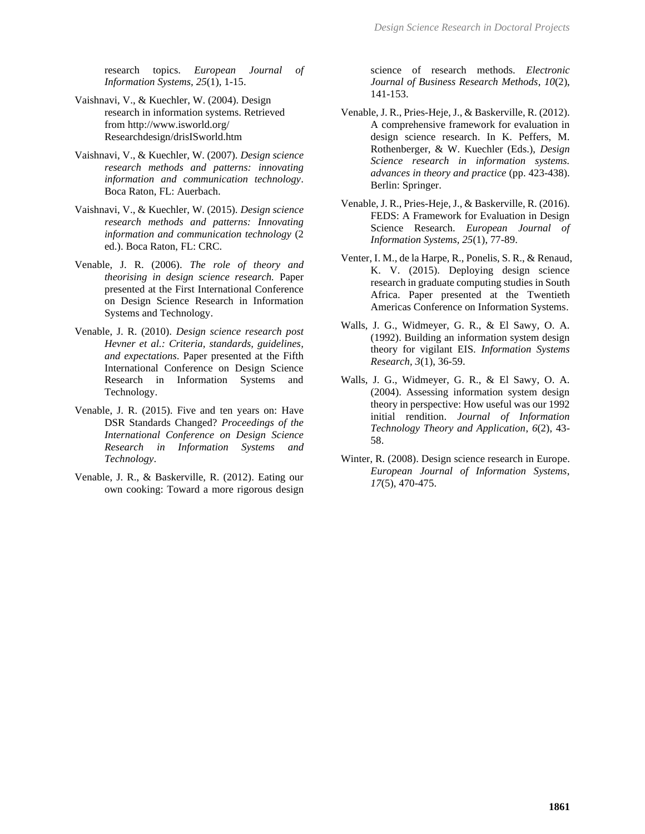research topics. *European Journal of Information Systems, 25*(1)*,* 1-15.

- Vaishnavi, V., & Kuechler, W. (2004). Design research in information systems. Retrieved from http://www.isworld.org/ Researchdesign/drisISworld.htm
- Vaishnavi, V., & Kuechler, W. (2007). *Design science research methods and patterns: innovating information and communication technology*. Boca Raton, FL: Auerbach.
- Vaishnavi, V., & Kuechler, W. (2015). *Design science research methods and patterns: Innovating information and communication technology* (2 ed.). Boca Raton, FL: CRC.
- Venable, J. R. (2006). *The role of theory and theorising in design science research.* Paper presented at the First International Conference on Design Science Research in Information Systems and Technology.
- Venable, J. R. (2010). *Design science research post Hevner et al.: Criteria, standards, guidelines, and expectations*. Paper presented at the Fifth International Conference on Design Science Research in Information Systems and Technology.
- Venable, J. R. (2015). Five and ten years on: Have DSR Standards Changed? *Proceedings of the International Conference on Design Science Research in Information Systems and Technology*.
- Venable, J. R., & Baskerville, R. (2012). Eating our own cooking: Toward a more rigorous design

science of research methods. *Electronic Journal of Business Research Methods*, *10*(2), 141-153.

- Venable, J. R., Pries-Heje, J., & Baskerville, R. (2012). A comprehensive framework for evaluation in design science research. In K. Peffers, M. Rothenberger, & W. Kuechler (Eds.), *Design Science research in information systems. advances in theory and practice* (pp. 423-438). Berlin: Springer.
- Venable, J. R., Pries-Heje, J., & Baskerville, R. (2016). FEDS: A Framework for Evaluation in Design Science Research. *European Journal of Information Systems, 25*(1), 77-89.
- Venter, I. M., de la Harpe, R., Ponelis, S. R., & Renaud, K. V. (2015). Deploying design science research in graduate computing studies in South Africa. Paper presented at the Twentieth Americas Conference on Information Systems.
- Walls, J. G., Widmeyer, G. R., & El Sawy, O. A. (1992). Building an information system design theory for vigilant EIS. *Information Systems Research, 3*(1), 36-59.
- Walls, J. G., Widmeyer, G. R., & El Sawy, O. A. (2004). Assessing information system design theory in perspective: How useful was our 1992 initial rendition. *Journal of Information Technology Theory and Application*, *6*(2), 43- 58.
- Winter, R. (2008). Design science research in Europe. *European Journal of Information Systems*, *17*(5), 470-475.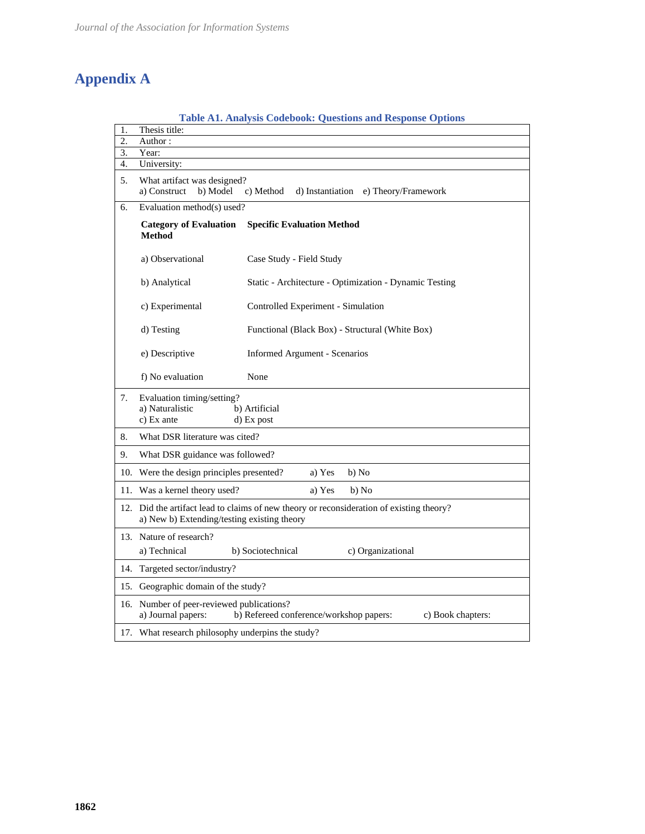# **Appendix A**

#### **Table A1. Analysis Codebook: Questions and Response Options**

| 1.  | Thesis title:                                                               |                                                                                          |  |  |  |  |  |  |  |  |  |  |  |  |  |
|-----|-----------------------------------------------------------------------------|------------------------------------------------------------------------------------------|--|--|--|--|--|--|--|--|--|--|--|--|--|
| 2.  | Author:                                                                     |                                                                                          |  |  |  |  |  |  |  |  |  |  |  |  |  |
| 3.  | Year:                                                                       |                                                                                          |  |  |  |  |  |  |  |  |  |  |  |  |  |
| 4.  | University:                                                                 |                                                                                          |  |  |  |  |  |  |  |  |  |  |  |  |  |
| 5.  | What artifact was designed?<br>b) Model<br>a) Construct                     | c) Method<br>d) Instantiation e) Theory/Framework                                        |  |  |  |  |  |  |  |  |  |  |  |  |  |
| 6.  | Evaluation method(s) used?                                                  |                                                                                          |  |  |  |  |  |  |  |  |  |  |  |  |  |
|     | <b>Category of Evaluation</b><br><b>Method</b>                              | <b>Specific Evaluation Method</b>                                                        |  |  |  |  |  |  |  |  |  |  |  |  |  |
|     | a) Observational                                                            | Case Study - Field Study                                                                 |  |  |  |  |  |  |  |  |  |  |  |  |  |
|     | b) Analytical                                                               | Static - Architecture - Optimization - Dynamic Testing                                   |  |  |  |  |  |  |  |  |  |  |  |  |  |
|     | c) Experimental                                                             | Controlled Experiment - Simulation                                                       |  |  |  |  |  |  |  |  |  |  |  |  |  |
|     | d) Testing                                                                  | Functional (Black Box) - Structural (White Box)                                          |  |  |  |  |  |  |  |  |  |  |  |  |  |
|     | e) Descriptive<br>Informed Argument - Scenarios<br>f) No evaluation<br>None |                                                                                          |  |  |  |  |  |  |  |  |  |  |  |  |  |
|     |                                                                             |                                                                                          |  |  |  |  |  |  |  |  |  |  |  |  |  |
| 7.  | Evaluation timing/setting?<br>a) Naturalistic<br>c) Ex ante                 | b) Artificial<br>d) Ex post                                                              |  |  |  |  |  |  |  |  |  |  |  |  |  |
| 8.  | What DSR literature was cited?                                              |                                                                                          |  |  |  |  |  |  |  |  |  |  |  |  |  |
| 9.  | What DSR guidance was followed?                                             |                                                                                          |  |  |  |  |  |  |  |  |  |  |  |  |  |
| 10. | Were the design principles presented?                                       | a) Yes<br>b) No                                                                          |  |  |  |  |  |  |  |  |  |  |  |  |  |
|     | 11. Was a kernel theory used?                                               | a) Yes<br>b) No                                                                          |  |  |  |  |  |  |  |  |  |  |  |  |  |
|     | a) New b) Extending/testing existing theory                                 | 12. Did the artifact lead to claims of new theory or reconsideration of existing theory? |  |  |  |  |  |  |  |  |  |  |  |  |  |
|     | 13. Nature of research?<br>a) Technical                                     | b) Sociotechnical<br>c) Organizational                                                   |  |  |  |  |  |  |  |  |  |  |  |  |  |
| 14. | Targeted sector/industry?                                                   |                                                                                          |  |  |  |  |  |  |  |  |  |  |  |  |  |
|     | 15. Geographic domain of the study?                                         |                                                                                          |  |  |  |  |  |  |  |  |  |  |  |  |  |
|     | 16. Number of peer-reviewed publications?<br>a) Journal papers:             | b) Refereed conference/workshop papers:<br>c) Book chapters:                             |  |  |  |  |  |  |  |  |  |  |  |  |  |
|     | 17. What research philosophy underpins the study?                           |                                                                                          |  |  |  |  |  |  |  |  |  |  |  |  |  |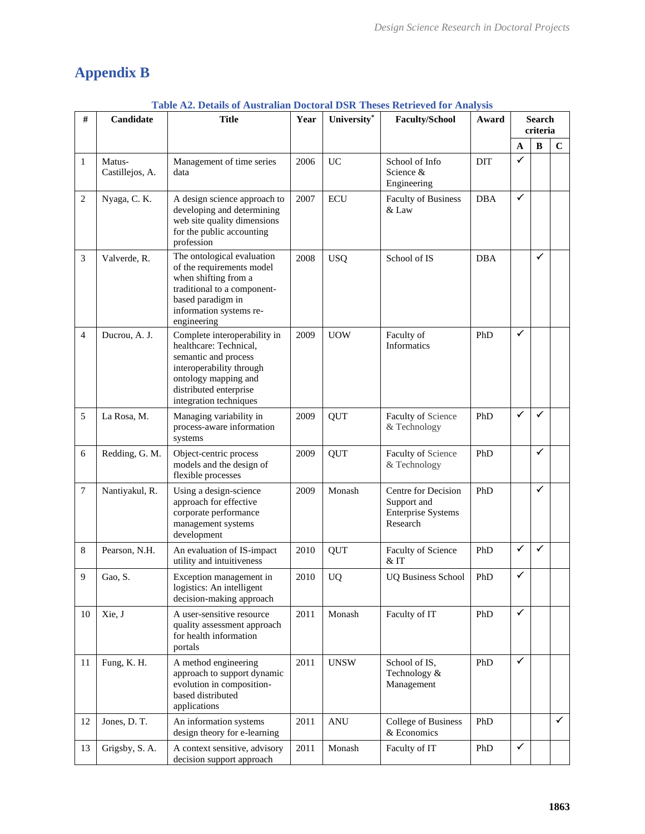# **Appendix B**

| #              | Candidate                 | Table A2. Details of Australian Doctoral DSK Theses Kettleved for Analysis<br><b>Title</b>                                                                                             | Year | University* | <b>Faculty/School</b>                                                       | Award      |   | <b>Search</b><br>criteria |             |
|----------------|---------------------------|----------------------------------------------------------------------------------------------------------------------------------------------------------------------------------------|------|-------------|-----------------------------------------------------------------------------|------------|---|---------------------------|-------------|
|                |                           |                                                                                                                                                                                        |      |             |                                                                             |            | A | B                         | $\mathbf C$ |
| 1              | Matus-<br>Castillejos, A. | Management of time series<br>data                                                                                                                                                      | 2006 | <b>UC</b>   | School of Info<br>Science &<br>Engineering                                  | DIT        | ✓ |                           |             |
| $\overline{2}$ | Nyaga, C. K.              | A design science approach to<br>developing and determining<br>web site quality dimensions<br>for the public accounting<br>profession                                                   | 2007 | <b>ECU</b>  | <b>Faculty of Business</b><br>& Law                                         | <b>DBA</b> | ✓ |                           |             |
| 3              | Valverde, R.              | The ontological evaluation<br>of the requirements model<br>when shifting from a<br>traditional to a component-<br>based paradigm in<br>information systems re-<br>engineering          | 2008 | <b>USQ</b>  | School of IS                                                                | <b>DBA</b> |   | ✓                         |             |
| $\overline{4}$ | Ducrou, A. J.             | Complete interoperability in<br>healthcare: Technical,<br>semantic and process<br>interoperability through<br>ontology mapping and<br>distributed enterprise<br>integration techniques | 2009 | <b>UOW</b>  | Faculty of<br><b>Informatics</b>                                            | PhD        | ✓ |                           |             |
| 5              | La Rosa, M.               | Managing variability in<br>process-aware information<br>systems                                                                                                                        | 2009 | QUT         | Faculty of Science<br>& Technology                                          | PhD        | ✓ | ✓                         |             |
| 6              | Redding, G. M.            | Object-centric process<br>models and the design of<br>flexible processes                                                                                                               | 2009 | <b>QUT</b>  | Faculty of Science<br>& Technology                                          | PhD        |   | ✓                         |             |
| $\tau$         | Nantiyakul, R.            | Using a design-science<br>approach for effective<br>corporate performance<br>management systems<br>development                                                                         | 2009 | Monash      | Centre for Decision<br>Support and<br><b>Enterprise Systems</b><br>Research | PhD        |   | ✓                         |             |
| 8              | Pearson, N.H.             | An evaluation of IS-impact<br>utility and intuitiveness                                                                                                                                | 2010 | QUT         | Faculty of Science<br>& IT                                                  | PhD        | ✓ | ✓                         |             |
| 9              | Gao, S.                   | Exception management in<br>logistics: An intelligent<br>decision-making approach                                                                                                       | 2010 | UQ          | <b>UQ Business School</b>                                                   | PhD        | ✓ |                           |             |
| 10             | Xie, J                    | A user-sensitive resource<br>quality assessment approach<br>for health information<br>portals                                                                                          | 2011 | Monash      | Faculty of IT                                                               | PhD        | ✓ |                           |             |
| 11             | Fung, K. H.               | A method engineering<br>approach to support dynamic<br>evolution in composition-<br>based distributed<br>applications                                                                  | 2011 | <b>UNSW</b> | School of IS,<br>Technology &<br>Management                                 | PhD        | ✓ |                           |             |
| 12             | Jones, D. T.              | An information systems<br>design theory for e-learning                                                                                                                                 | 2011 | <b>ANU</b>  | College of Business<br>& Economics                                          | PhD        |   |                           | ✓           |
| 13             | Grigsby, S. A.            | A context sensitive, advisory<br>decision support approach                                                                                                                             | 2011 | Monash      | Faculty of IT                                                               | PhD        | ✓ |                           |             |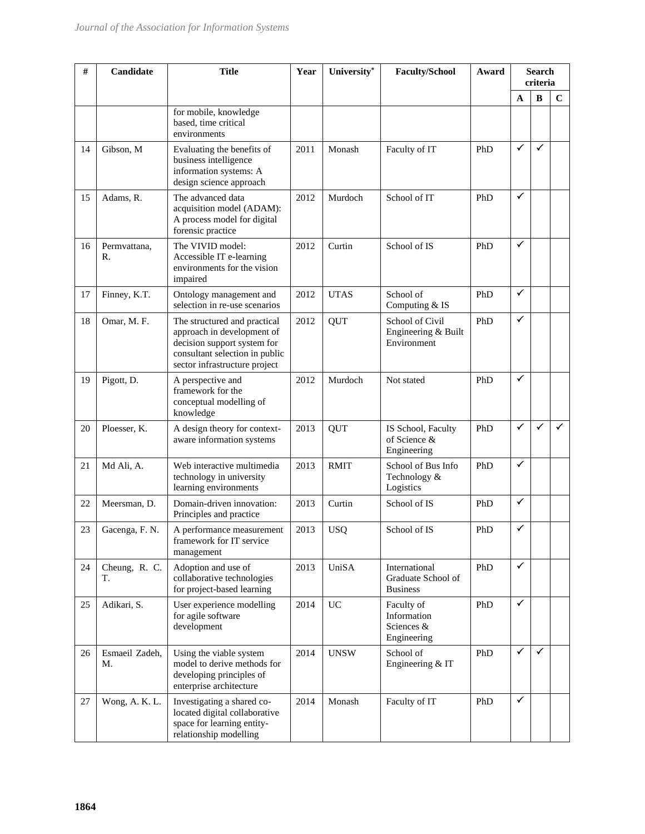| #  | Candidate            | <b>Title</b>                                                                                                                                                 | Year | University* | <b>Faculty/School</b>                                  | Award |   | <b>Search</b><br>criteria |             |
|----|----------------------|--------------------------------------------------------------------------------------------------------------------------------------------------------------|------|-------------|--------------------------------------------------------|-------|---|---------------------------|-------------|
|    |                      |                                                                                                                                                              |      |             |                                                        |       | A | B                         | $\mathbf C$ |
|    |                      | for mobile, knowledge<br>based, time critical<br>environments                                                                                                |      |             |                                                        |       |   |                           |             |
| 14 | Gibson, M            | Evaluating the benefits of<br>business intelligence<br>information systems: A<br>design science approach                                                     | 2011 | Monash      | Faculty of IT                                          | PhD   | ✓ | ✓                         |             |
| 15 | Adams, R.            | The advanced data<br>acquisition model (ADAM):<br>A process model for digital<br>forensic practice                                                           | 2012 | Murdoch     | School of IT                                           | PhD   | ✓ |                           |             |
| 16 | Permvattana,<br>R.   | The VIVID model:<br>Accessible IT e-learning<br>environments for the vision<br>impaired                                                                      | 2012 | Curtin      | School of IS                                           | PhD   | ✓ |                           |             |
| 17 | Finney, K.T.         | Ontology management and<br>selection in re-use scenarios                                                                                                     | 2012 | <b>UTAS</b> | School of<br>Computing & IS                            | PhD   | ✓ |                           |             |
| 18 | Omar, M. F.          | The structured and practical<br>approach in development of<br>decision support system for<br>consultant selection in public<br>sector infrastructure project | 2012 | QUT         | School of Civil<br>Engineering & Built<br>Environment  | PhD   | ✓ |                           |             |
| 19 | Pigott, D.           | A perspective and<br>framework for the<br>conceptual modelling of<br>knowledge                                                                               | 2012 | Murdoch     | Not stated                                             | PhD   | ✓ |                           |             |
| 20 | Ploesser, K.         | A design theory for context-<br>aware information systems                                                                                                    | 2013 | <b>QUT</b>  | IS School, Faculty<br>of Science &<br>Engineering      | PhD   | ✓ | ✓                         | ✓           |
| 21 | Md Ali, A.           | Web interactive multimedia<br>technology in university<br>learning environments                                                                              | 2013 | <b>RMIT</b> | School of Bus Info<br>Technology &<br>Logistics        | PhD   | ✓ |                           |             |
| 22 | Meersman, D.         | Domain-driven innovation:<br>Principles and practice                                                                                                         | 2013 | Curtin      | School of IS                                           | PhD   | ✓ |                           |             |
| 23 | Gacenga, F. N.       | A performance measurement<br>framework for IT service<br>management                                                                                          | 2013 | <b>USQ</b>  | School of IS                                           | PhD   | ✓ |                           |             |
| 24 | Cheung, R. C.<br>Т.  | Adoption and use of<br>collaborative technologies<br>for project-based learning                                                                              | 2013 | UniSA       | International<br>Graduate School of<br><b>Business</b> | PhD   | ✓ |                           |             |
| 25 | Adikari, S.          | User experience modelling<br>for agile software<br>development                                                                                               | 2014 | <b>UC</b>   | Faculty of<br>Information<br>Sciences &<br>Engineering | PhD   | ✓ |                           |             |
| 26 | Esmaeil Zadeh,<br>M. | Using the viable system<br>model to derive methods for<br>developing principles of<br>enterprise architecture                                                | 2014 | <b>UNSW</b> | School of<br>Engineering & IT                          | PhD   | ✓ | $\checkmark$              |             |
| 27 | Wong, A. K. L.       | Investigating a shared co-<br>located digital collaborative<br>space for learning entity-<br>relationship modelling                                          | 2014 | Monash      | Faculty of IT                                          | PhD   | ✓ |                           |             |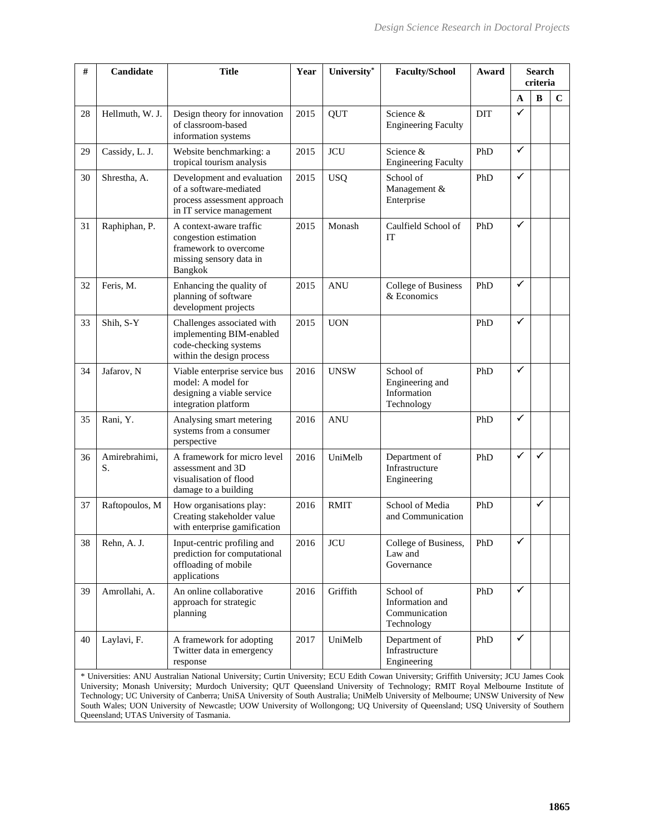| #  | Candidate           | <b>Title</b>                                                                                                                                                                                                                                                                                                                                                                                                                                                                                                                                      | Year | University* | <b>Faculty/School</b>                                       | Award      |              | <b>Search</b><br>criteria |             |
|----|---------------------|---------------------------------------------------------------------------------------------------------------------------------------------------------------------------------------------------------------------------------------------------------------------------------------------------------------------------------------------------------------------------------------------------------------------------------------------------------------------------------------------------------------------------------------------------|------|-------------|-------------------------------------------------------------|------------|--------------|---------------------------|-------------|
|    |                     |                                                                                                                                                                                                                                                                                                                                                                                                                                                                                                                                                   |      |             |                                                             |            | $\mathbf A$  | $\bf{B}$                  | $\mathbf C$ |
| 28 | Hellmuth, W. J.     | Design theory for innovation<br>of classroom-based<br>information systems                                                                                                                                                                                                                                                                                                                                                                                                                                                                         | 2015 | QUT         | Science &<br><b>Engineering Faculty</b>                     | <b>DIT</b> | ✓            |                           |             |
| 29 | Cassidy, L. J.      | Website benchmarking: a<br>tropical tourism analysis                                                                                                                                                                                                                                                                                                                                                                                                                                                                                              | 2015 | <b>JCU</b>  | Science &<br><b>Engineering Faculty</b>                     | PhD        | $\checkmark$ |                           |             |
| 30 | Shrestha, A.        | Development and evaluation<br>of a software-mediated<br>process assessment approach<br>in IT service management                                                                                                                                                                                                                                                                                                                                                                                                                                   | 2015 | <b>USQ</b>  | School of<br>Management &<br>Enterprise                     | PhD        | ✓            |                           |             |
| 31 | Raphiphan, P.       | A context-aware traffic<br>congestion estimation<br>framework to overcome<br>missing sensory data in<br>Bangkok                                                                                                                                                                                                                                                                                                                                                                                                                                   | 2015 | Monash      | Caulfield School of<br>IT                                   | PhD        | ✓            |                           |             |
| 32 | Feris, M.           | Enhancing the quality of<br>planning of software<br>development projects                                                                                                                                                                                                                                                                                                                                                                                                                                                                          | 2015 | <b>ANU</b>  | College of Business<br>& Economics                          | PhD        | ✓            |                           |             |
| 33 | Shih, S-Y           | Challenges associated with<br>implementing BIM-enabled<br>code-checking systems<br>within the design process                                                                                                                                                                                                                                                                                                                                                                                                                                      | 2015 | <b>UON</b>  |                                                             | PhD        | ✓            |                           |             |
| 34 | Jafarov, N          | Viable enterprise service bus<br>model: A model for<br>designing a viable service<br>integration platform                                                                                                                                                                                                                                                                                                                                                                                                                                         | 2016 | <b>UNSW</b> | School of<br>Engineering and<br>Information<br>Technology   | PhD        | ✓            |                           |             |
| 35 | Rani, Y.            | Analysing smart metering<br>systems from a consumer<br>perspective                                                                                                                                                                                                                                                                                                                                                                                                                                                                                | 2016 | <b>ANU</b>  |                                                             | PhD        | $\checkmark$ |                           |             |
| 36 | Amirebrahimi,<br>S. | A framework for micro level<br>assessment and 3D<br>visualisation of flood<br>damage to a building                                                                                                                                                                                                                                                                                                                                                                                                                                                | 2016 | UniMelb     | Department of<br>Infrastructure<br>Engineering              | PhD        | ✓            | $\checkmark$              |             |
| 37 | Raftopoulos, M      | How organisations play:<br>Creating stakeholder value<br>with enterprise gamification                                                                                                                                                                                                                                                                                                                                                                                                                                                             | 2016 | <b>RMIT</b> | School of Media<br>and Communication                        | PhD        |              | ✓                         |             |
| 38 | Rehn, A. J.         | Input-centric profiling and<br>prediction for computational<br>offloading of mobile<br>applications                                                                                                                                                                                                                                                                                                                                                                                                                                               | 2016 | <b>JCU</b>  | College of Business,<br>Law and<br>Governance               | PhD        | ✓            |                           |             |
| 39 | Amrollahi, A.       | An online collaborative<br>approach for strategic<br>planning                                                                                                                                                                                                                                                                                                                                                                                                                                                                                     | 2016 | Griffith    | School of<br>Information and<br>Communication<br>Technology | PhD        | ✓            |                           |             |
| 40 | Laylavi, F.         | A framework for adopting<br>Twitter data in emergency<br>response                                                                                                                                                                                                                                                                                                                                                                                                                                                                                 | 2017 | UniMelb     | Department of<br>Infrastructure<br>Engineering              | PhD        | ✓            |                           |             |
|    |                     | * Universities: ANU Australian National University; Curtin University; ECU Edith Cowan University; Griffith University; JCU James Cook<br>University; Monash University; Murdoch University; QUT Queensland University of Technology; RMIT Royal Melbourne Institute of<br>Technology; UC University of Canberra; UniSA University of South Australia; UniMelb University of Melbourne; UNSW University of New<br>South Wales; UON University of Newcastle; UOW University of Wollongong; UQ University of Queensland; USQ University of Southern |      |             |                                                             |            |              |                           |             |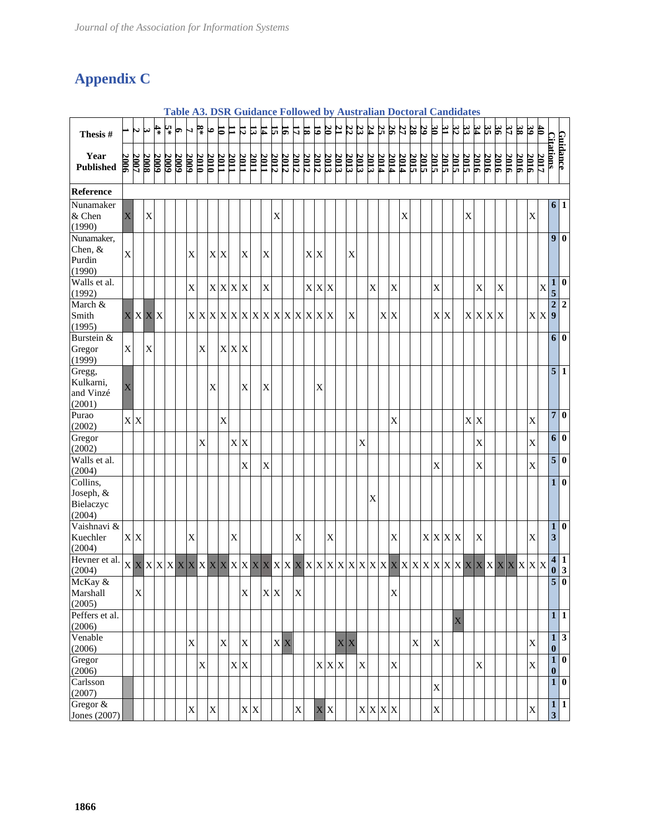# **Appendix C**

|                                              |                              |     |             |                 |    |                       |                             |   |                                                                                                                |                |       |                           |     |   |                          |     |             |       |     |     |             | Table AS. DSK Guidance Followed by Australian Doctoral Candidates                                       |   |       |    |                              |   |     |                      |   |             |       |   |                                                |      |                |      |                                  |                                                               |
|----------------------------------------------|------------------------------|-----|-------------|-----------------|----|-----------------------|-----------------------------|---|----------------------------------------------------------------------------------------------------------------|----------------|-------|---------------------------|-----|---|--------------------------|-----|-------------|-------|-----|-----|-------------|---------------------------------------------------------------------------------------------------------|---|-------|----|------------------------------|---|-----|----------------------|---|-------------|-------|---|------------------------------------------------|------|----------------|------|----------------------------------|---------------------------------------------------------------|
| Thesis #                                     |                              | N   | سا          | 4*              | ς¥ | $\blacktriangleright$ | $\frac{9}{8}$ $\frac{1}{2}$ |   |                                                                                                                | $\overline{5}$ |       |                           |     |   |                          |     |             |       |     |     |             |                                                                                                         |   |       |    |                              |   |     |                      |   |             |       |   | <b>즼벍뛂법뛈뛈꿞펂멹</b> 펔묄젉엶 <i>볌뛈</i> 졉졐졊엨뎍즼큡더니 그리그리 |      |                |      |                                  |                                                               |
| Year<br><b>Published</b>                     | 2009<br>2008<br>2007<br>2006 |     |             |                 |    |                       |                             |   | $\begin{array}{c}\n 311 \\ 201 \\ \hline\n 111 \\ \hline\n 2010 \\ \hline\n 300 \\ \hline\n 200\n \end{array}$ |                |       |                           |     |   |                          |     |             |       |     |     |             | $\begin{array}{c}\n 2014 \\ 2013 \\ 3014 \\ 4014 \\ 5014 \\ 6014 \\ 7011 \\ 8011 \\ 1011\n \end{array}$ |   |       |    | 2015<br>2015<br>2015<br>2014 |   |     | 2016<br>2016<br>2015 |   |             |       |   | 2016<br>2016                                   | 2016 | 2016           | 2017 | tations                          | Guidance                                                      |
| Reference                                    |                              |     |             |                 |    |                       |                             |   |                                                                                                                |                |       |                           |     |   |                          |     |             |       |     |     |             |                                                                                                         |   |       |    |                              |   |     |                      |   |             |       |   |                                                |      |                |      |                                  |                                                               |
| Nunamaker<br>& Chen<br>(1990)                | $\mathbf X$                  |     | $\mathbf X$ |                 |    |                       |                             |   |                                                                                                                |                |       |                           |     |   | X                        |     |             |       |     |     |             |                                                                                                         |   |       |    | X                            |   |     |                      | X |             |       |   |                                                |      | $\mathbf X$    |      |                                  | 6 1                                                           |
| Nunamaker,<br>Chen, &<br>Purdin<br>(1990)    | X                            |     |             |                 |    |                       | $\mathbf X$                 |   |                                                                                                                | X X            |       | $\boldsymbol{\mathrm{X}}$ |     | X |                          |     |             | XX    |     |     | X           |                                                                                                         |   |       |    |                              |   |     |                      |   |             |       |   |                                                |      |                |      |                                  | 9 0                                                           |
| Walls et al.<br>(1992)                       |                              |     |             |                 |    |                       | X                           |   |                                                                                                                |                | X X X |                           |     | X |                          |     |             | X X X |     |     |             |                                                                                                         |   | X     |    | $\bf X$                      |   | X   |                      |   | $\mathbf X$ |       | X |                                                |      |                | X    | 5                                | 1 0                                                           |
| March &<br>Smith<br>(1995)                   |                              |     |             | $X$ $X$ $X$ $X$ |    |                       |                             |   | X X X X X X X X X X X X X X                                                                                    |                |       |                           |     |   |                          |     |             |       |     |     | $\mathbf X$ |                                                                                                         |   |       | XX |                              |   | X X |                      |   |             | X X X |   |                                                |      |                | X X  | $\overline{2}$<br>$\overline{9}$ | $\overline{2}$                                                |
| Burstein &<br>Gregor<br>(1999)               | $\mathbf X$                  |     | X           |                 |    |                       |                             | X |                                                                                                                |                | X X   |                           |     |   |                          |     |             |       |     |     |             |                                                                                                         |   |       |    |                              |   |     |                      |   |             |       |   |                                                |      |                |      |                                  | 6 0                                                           |
| Gregg,<br>Kulkarni,<br>and Vinzé<br>(2001)   | $\mathbf X$                  |     |             |                 |    |                       |                             |   | $\mathbf X$                                                                                                    |                |       | $\mathbf X$               |     | X |                          |     |             | X     |     |     |             |                                                                                                         |   |       |    |                              |   |     |                      |   |             |       |   |                                                |      |                |      |                                  | $\overline{5}\vert 1$                                         |
| Purao<br>(2002)                              |                              | XX  |             |                 |    |                       |                             |   |                                                                                                                | $\mathbf X$    |       |                           |     |   |                          |     |             |       |     |     |             |                                                                                                         |   |       |    | $\mathbf X$                  |   |     |                      |   | XX          |       |   |                                                |      | $\overline{X}$ |      |                                  | 7 0                                                           |
| Gregor<br>(2002)                             |                              |     |             |                 |    |                       |                             | X |                                                                                                                |                | X X   |                           |     |   |                          |     |             |       |     |     |             | X                                                                                                       |   |       |    |                              |   |     |                      |   | X           |       |   |                                                |      | $\bar{X}$      |      |                                  | $\overline{6}$ 0                                              |
| Walls et al.<br>(2004)                       |                              |     |             |                 |    |                       |                             |   |                                                                                                                |                |       | $\bf X$                   |     | X |                          |     |             |       |     |     |             |                                                                                                         |   |       |    |                              |   | X   |                      |   | X           |       |   |                                                |      | $\overline{X}$ |      |                                  | 50                                                            |
| Collins,<br>Joseph, &<br>Bielaczyc<br>(2004) |                              |     |             |                 |    |                       |                             |   |                                                                                                                |                |       |                           |     |   |                          |     |             |       |     |     |             |                                                                                                         | X |       |    |                              |   |     |                      |   |             |       |   |                                                |      |                |      |                                  | 1 0                                                           |
| Vaishnavi &<br>Kuechler<br>(2004)            |                              | X X |             |                 |    |                       | X                           |   |                                                                                                                |                | X     |                           |     |   |                          |     | $\mathbf X$ |       | X   |     |             |                                                                                                         |   |       |    | $\mathbf X$                  |   |     | X X X                |   | X           |       |   |                                                |      | X              |      | $\mathbf{1}$<br>3                | $\bf{0}$                                                      |
| Hevner et al.<br>(2004)                      |                              |     |             |                 |    |                       |                             |   |                                                                                                                |                |       |                           |     |   |                          |     |             |       |     |     |             |                                                                                                         |   |       |    |                              |   |     |                      |   |             |       |   |                                                |      |                |      |                                  | 4 1<br>$\begin{array}{c c} 0 & 3 \\ \hline 5 & 0 \end{array}$ |
| McKay &<br>Marshall<br>(2005)                |                              | X   |             |                 |    |                       |                             |   |                                                                                                                |                |       | X                         |     |   | $\mathbf{X}\ \mathbf{X}$ |     | $\mathbf X$ |       |     |     |             |                                                                                                         |   |       |    | $\mathbf X$                  |   |     |                      |   |             |       |   |                                                |      |                |      |                                  |                                                               |
| Peffers et al.<br>(2006)                     |                              |     |             |                 |    |                       |                             |   |                                                                                                                |                |       |                           |     |   |                          |     |             |       |     |     |             |                                                                                                         |   |       |    |                              |   |     | X                    |   |             |       |   |                                                |      |                |      |                                  | 1 1                                                           |
| Venable<br>(2006)                            |                              |     |             |                 |    |                       | $\mathbf X$                 |   |                                                                                                                | $\mathbf X$    |       | X                         |     |   |                          | X X |             |       |     |     | X X         |                                                                                                         |   |       |    |                              | X | X   |                      |   |             |       |   |                                                |      | $\mathbf X$    |      | $\bf{0}$                         | $\overline{1}$ 3                                              |
| Gregor<br>(2006)                             |                              |     |             |                 |    |                       |                             | X |                                                                                                                |                | X X   |                           |     |   |                          |     |             |       |     | X X |             | $\overline{X}$                                                                                          |   |       |    | $\mathbf X$                  |   |     |                      |   | X           |       |   |                                                |      | X              |      | $\mathbf{1}$<br>$\boldsymbol{0}$ | $\overline{\mathbf{0}}$                                       |
| Carlsson<br>(2007)                           |                              |     |             |                 |    |                       |                             |   |                                                                                                                |                |       |                           |     |   |                          |     |             |       |     |     |             |                                                                                                         |   |       |    |                              |   | X   |                      |   |             |       |   |                                                |      |                |      |                                  | 1 0                                                           |
| Gregor &<br>Jones (2007)                     |                              |     |             |                 |    |                       | X                           |   | $\mathbf X$                                                                                                    |                |       |                           | X X |   |                          |     | $\mathbf X$ |       | X X |     |             |                                                                                                         |   | X X X |    |                              |   | X   |                      |   |             |       |   |                                                |      | $\mathbf X$    |      | $\overline{\mathbf{3}}$          | $\overline{1}$   $\overline{1}$                               |

**Table A3. DSR Guidance Followed by Australian Doctoral Candidates**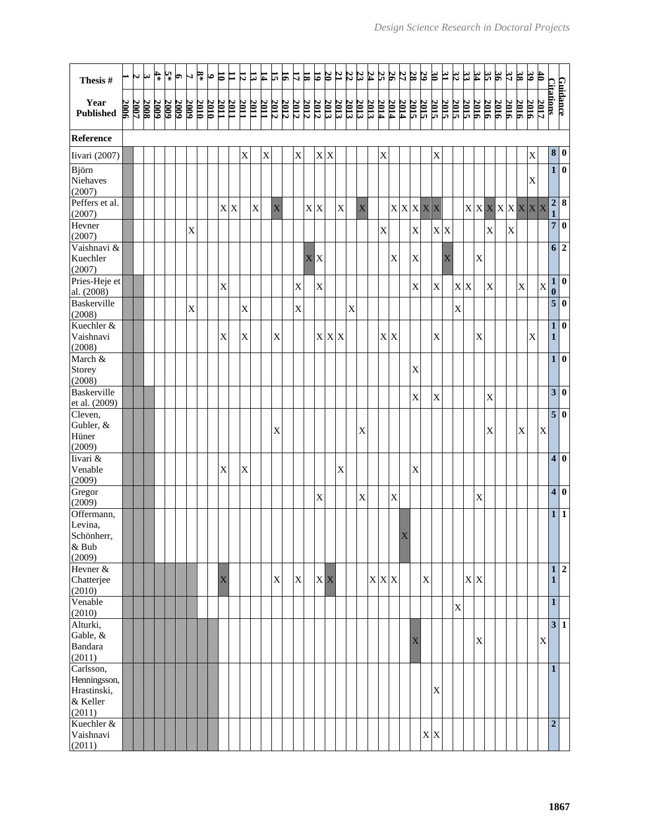| Thesis #                     |      | $\omega$ | $4*$ | <b>S</b> * |                |  | $\frac{1}{4} \circ \frac{1}{4} \circ \frac{1}{4}$ | F            | $\frac{13}{12}$ |   |   | $\frac{1}{4}$ $\frac{1}{4}$ |             |                          |                |              |             |             |             |             |                |                          |                |   |             |     |             |             | ង <b>អង្គងន្មនម្មន្មន្មន្មន្មន្មន្មន្មន្មន</b> ដ្ឋ |             |             | $\frac{4}{3}$ |             |                                                 |          |
|------------------------------|------|----------|------|------------|----------------|--|---------------------------------------------------|--------------|-----------------|---|---|-----------------------------|-------------|--------------------------|----------------|--------------|-------------|-------------|-------------|-------------|----------------|--------------------------|----------------|---|-------------|-----|-------------|-------------|----------------------------------------------------|-------------|-------------|---------------|-------------|-------------------------------------------------|----------|
| Year<br><b>Published</b>     | 2006 |          |      |            |                |  |                                                   |              |                 |   |   |                             |             |                          |                |              |             |             |             |             |                |                          |                |   |             |     |             |             |                                                    |             | <b>2016</b> | 2016          | 2017        | Citations                                       | Guidance |
| Reference                    |      |          |      |            |                |  |                                                   |              |                 |   |   |                             |             |                          |                |              |             |             |             |             |                |                          |                |   |             |     |             |             |                                                    |             |             |               |             |                                                 |          |
| Iivari (2007)                |      |          |      |            |                |  |                                                   |              | $\mathbf X$     |   | X |                             | $\mathbf X$ |                          | X <sub>X</sub> |              |             |             | X           |             |                |                          | X              |   |             |     |             |             |                                                    |             |             | X             |             | 8 0                                             |          |
| Björn                        |      |          |      |            |                |  |                                                   |              |                 |   |   |                             |             |                          |                |              |             |             |             |             |                |                          |                |   |             |     |             |             |                                                    |             |             |               |             | $\overline{1 0}$                                |          |
| Niehaves                     |      |          |      |            |                |  |                                                   |              |                 |   |   |                             |             |                          |                |              |             |             |             |             |                |                          |                |   |             |     |             |             |                                                    |             |             | X             |             |                                                 |          |
| (2007)<br>Peffers et al.     |      |          |      |            |                |  |                                                   |              |                 |   |   |                             |             |                          |                |              |             |             |             |             |                |                          |                |   |             |     |             |             |                                                    |             |             |               |             |                                                 |          |
| (2007)                       |      |          |      |            |                |  |                                                   | X X          |                 | X |   | X                           |             | $\mathbf{X}\,\mathbf{X}$ |                | $\mathbf X$  |             | $\mathbf X$ |             |             |                | X X X X                  |                |   |             |     |             |             | $X$ $X$ $X$ $X$ $X$ $X$ $X$ $X$                    |             |             |               |             | $\begin{array}{c c} 2 & 8 \\ 1 & 8 \end{array}$ |          |
| Hevner                       |      |          |      |            | X              |  |                                                   |              |                 |   |   |                             |             |                          |                |              |             |             | $\mathbf X$ |             | $\overline{X}$ |                          | X X            |   |             |     |             | X           |                                                    | $\mathbf X$ |             |               |             | 7 0                                             |          |
| (2007)                       |      |          |      |            |                |  |                                                   |              |                 |   |   |                             |             |                          |                |              |             |             |             |             |                |                          |                |   |             |     |             |             |                                                    |             |             |               |             |                                                 |          |
| Vaishnavi &                  |      |          |      |            |                |  |                                                   |              |                 |   |   |                             |             |                          |                |              |             |             |             |             |                |                          |                |   |             |     |             |             |                                                    |             |             |               |             | $6\overline{2}$                                 |          |
| Kuechler<br>(2007)           |      |          |      |            |                |  |                                                   |              |                 |   |   |                             |             | X X                      |                |              |             |             |             | $\mathbf X$ | $\mathbf X$    |                          |                | X |             |     | $\mathbf X$ |             |                                                    |             |             |               |             |                                                 |          |
| Pries-Heje et                |      |          |      |            |                |  |                                                   |              |                 |   |   |                             |             |                          |                |              |             |             |             |             |                |                          |                |   |             |     |             |             |                                                    |             |             |               |             | $1\overline{0}$                                 |          |
| al. (2008)                   |      |          |      |            |                |  |                                                   | X            |                 |   |   |                             | $\mathbf X$ | $\mathbf X$              |                |              |             |             |             |             | $\mathbf X$    |                          | X              |   | XX          |     |             | $\mathbf X$ |                                                    |             | $\mathbf X$ |               | $\bar{X}$   | $\bf{0}$                                        |          |
| <b>Baskerville</b><br>(2008) |      |          |      |            | $\overline{X}$ |  |                                                   |              | $\mathbf X$     |   |   |                             | $\mathbf X$ |                          |                |              | $\mathbf X$ |             |             |             |                |                          |                |   | $\mathbf X$ |     |             |             |                                                    |             |             |               |             | $\overline{5}$ 0                                |          |
| Kuechler &                   |      |          |      |            |                |  |                                                   |              |                 |   |   |                             |             |                          |                |              |             |             |             |             |                |                          |                |   |             |     |             |             |                                                    |             |             |               |             | 1 0                                             |          |
| Vaishnavi                    |      |          |      |            |                |  |                                                   | X            | X               |   |   | X                           |             |                          |                | $X \times X$ |             |             |             | X X         |                |                          | X              |   |             |     | $\mathbf X$ |             |                                                    |             |             | $\mathbf X$   |             | $\mathbf{1}$                                    |          |
| (2008)<br>March &            |      |          |      |            |                |  |                                                   |              |                 |   |   |                             |             |                          |                |              |             |             |             |             |                |                          |                |   |             |     |             |             |                                                    |             |             |               |             | 1 0                                             |          |
| Storey                       |      |          |      |            |                |  |                                                   |              |                 |   |   |                             |             |                          |                |              |             |             |             |             | X              |                          |                |   |             |     |             |             |                                                    |             |             |               |             |                                                 |          |
| (2008)                       |      |          |      |            |                |  |                                                   |              |                 |   |   |                             |             |                          |                |              |             |             |             |             |                |                          |                |   |             |     |             |             |                                                    |             |             |               |             |                                                 |          |
| <b>Baskerville</b>           |      |          |      |            |                |  |                                                   |              |                 |   |   |                             |             |                          |                |              |             |             |             |             | $\mathbf X$    |                          | $\overline{X}$ |   |             |     |             | X           |                                                    |             |             |               |             | 3 0                                             |          |
| et al. (2009)<br>Cleven,     |      |          |      |            |                |  |                                                   |              |                 |   |   |                             |             |                          |                |              |             |             |             |             |                |                          |                |   |             |     |             |             |                                                    |             |             |               |             | 50                                              |          |
| Gubler, &                    |      |          |      |            |                |  |                                                   |              |                 |   |   |                             |             |                          |                |              |             |             |             |             |                |                          |                |   |             |     |             |             |                                                    |             |             |               |             |                                                 |          |
| Hüner                        |      |          |      |            |                |  |                                                   |              |                 |   |   | X                           |             |                          |                |              |             | X           |             |             |                |                          |                |   |             |     |             | X           |                                                    |             | $\mathbf X$ |               | $\mathbf X$ |                                                 |          |
| (2009)                       |      |          |      |            |                |  |                                                   |              |                 |   |   |                             |             |                          |                |              |             |             |             |             |                |                          |                |   |             |     |             |             |                                                    |             |             |               |             |                                                 |          |
| Iivari &<br>Venable          |      |          |      |            |                |  |                                                   | X            | X               |   |   |                             |             |                          |                | $\mathbf X$  |             |             |             |             | X              |                          |                |   |             |     |             |             |                                                    |             |             |               |             | 4 0                                             |          |
| (2009)                       |      |          |      |            |                |  |                                                   |              |                 |   |   |                             |             |                          |                |              |             |             |             |             |                |                          |                |   |             |     |             |             |                                                    |             |             |               |             |                                                 |          |
| Gregor                       |      |          |      |            |                |  |                                                   |              |                 |   |   |                             |             | X                        |                |              |             | X           |             | $\mathbf X$ |                |                          |                |   |             |     | $\mathbf X$ |             |                                                    |             |             |               |             | 4 0                                             |          |
| (2009)                       |      |          |      |            |                |  |                                                   |              |                 |   |   |                             |             |                          |                |              |             |             |             |             |                |                          |                |   |             |     |             |             |                                                    |             |             |               |             |                                                 |          |
| Offermann,<br>Levina,        |      |          |      |            |                |  |                                                   |              |                 |   |   |                             |             |                          |                |              |             |             |             |             |                |                          |                |   |             |     |             |             |                                                    |             |             |               |             | 1 1                                             |          |
| Schönherr,                   |      |          |      |            |                |  |                                                   |              |                 |   |   |                             |             |                          |                |              |             |             |             |             |                |                          |                |   |             |     |             |             |                                                    |             |             |               |             |                                                 |          |
| & Bub                        |      |          |      |            |                |  |                                                   |              |                 |   |   |                             |             |                          |                |              |             |             |             |             |                |                          |                |   |             |     |             |             |                                                    |             |             |               |             |                                                 |          |
| (2009)                       |      |          |      |            |                |  |                                                   |              |                 |   |   |                             |             |                          |                |              |             |             |             |             |                |                          |                |   |             |     |             |             |                                                    |             |             |               |             |                                                 |          |
| Hevner &                     |      |          |      |            |                |  |                                                   |              |                 |   |   |                             |             |                          |                |              |             |             |             |             |                |                          |                |   |             |     |             |             |                                                    |             |             |               |             | 1 2                                             |          |
| Chatterjee<br>(2010)         |      |          |      |            |                |  |                                                   | $\mathbf{X}$ |                 |   |   | $\bar{X}$                   | $\mathbf X$ |                          | X X            |              |             |             |             | X X         |                | X                        |                |   |             | X X |             |             |                                                    |             |             |               |             | $\mathbf{1}$                                    |          |
| Venable                      |      |          |      |            |                |  |                                                   |              |                 |   |   |                             |             |                          |                |              |             |             |             |             |                |                          |                |   |             |     |             |             |                                                    |             |             |               |             | $\mathbf{1}$                                    |          |
| (2010)                       |      |          |      |            |                |  |                                                   |              |                 |   |   |                             |             |                          |                |              |             |             |             |             |                |                          |                |   | $\mathbf X$ |     |             |             |                                                    |             |             |               |             |                                                 |          |
| Alturki,                     |      |          |      |            |                |  |                                                   |              |                 |   |   |                             |             |                          |                |              |             |             |             |             |                |                          |                |   |             |     |             |             |                                                    |             |             |               |             | 3 1                                             |          |
| Gable, &<br>Bandara          |      |          |      |            |                |  |                                                   |              |                 |   |   |                             |             |                          |                |              |             |             |             |             | X              |                          |                |   |             |     | $\mathbf X$ |             |                                                    |             |             |               | $\mathbf X$ |                                                 |          |
| (2011)                       |      |          |      |            |                |  |                                                   |              |                 |   |   |                             |             |                          |                |              |             |             |             |             |                |                          |                |   |             |     |             |             |                                                    |             |             |               |             |                                                 |          |
| Carlsson,                    |      |          |      |            |                |  |                                                   |              |                 |   |   |                             |             |                          |                |              |             |             |             |             |                |                          |                |   |             |     |             |             |                                                    |             |             |               |             | $\mathbf{1}$                                    |          |
| Henningsson,                 |      |          |      |            |                |  |                                                   |              |                 |   |   |                             |             |                          |                |              |             |             |             |             |                |                          |                |   |             |     |             |             |                                                    |             |             |               |             |                                                 |          |
| Hrastinski,<br>& Keller      |      |          |      |            |                |  |                                                   |              |                 |   |   |                             |             |                          |                |              |             |             |             |             |                |                          | X              |   |             |     |             |             |                                                    |             |             |               |             |                                                 |          |
| (2011)                       |      |          |      |            |                |  |                                                   |              |                 |   |   |                             |             |                          |                |              |             |             |             |             |                |                          |                |   |             |     |             |             |                                                    |             |             |               |             |                                                 |          |
| Kuechler &                   |      |          |      |            |                |  |                                                   |              |                 |   |   |                             |             |                          |                |              |             |             |             |             |                |                          |                |   |             |     |             |             |                                                    |             |             |               |             | $\boldsymbol{2}$                                |          |
| Vaishnavi                    |      |          |      |            |                |  |                                                   |              |                 |   |   |                             |             |                          |                |              |             |             |             |             |                | $\mathbf{X}\,\mathbf{X}$ |                |   |             |     |             |             |                                                    |             |             |               |             |                                                 |          |
| (2011)                       |      |          |      |            |                |  |                                                   |              |                 |   |   |                             |             |                          |                |              |             |             |             |             |                |                          |                |   |             |     |             |             |                                                    |             |             |               |             |                                                 |          |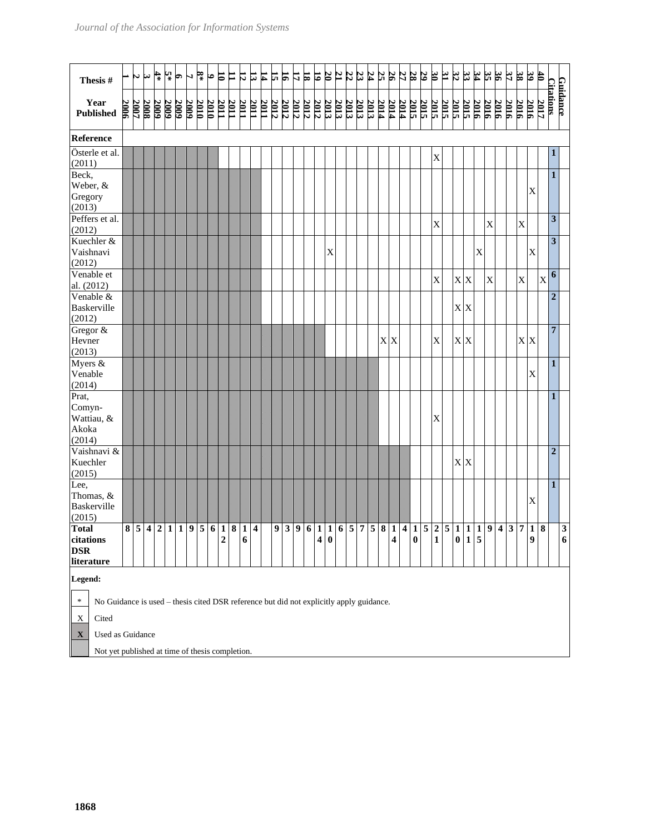| Thesis #                                                                                                                                                                                                                    |  | u u | $4*$ | $\mathbf{s}^*$ | Þ | $\frac{8}{1}$ | ط | ᄐ | F |   | $\frac{13}{12}$           | $\mathbf{1}$ | <u>ri</u> | $\overline{5}$ | $\frac{12}{11}$ | 5 | <b>20</b>      |  |  | ង<សង់ដូងដូ |     |          |                |  |                          |             |   | ងដន្ថងន្ទន់ ដូច គឺ នី ដូ <i>ង</i> |                | $\frac{40}{39}$ |                               |                         |                              |
|-----------------------------------------------------------------------------------------------------------------------------------------------------------------------------------------------------------------------------|--|-----|------|----------------|---|---------------|---|---|---|---|---------------------------|--------------|-----------|----------------|-----------------|---|----------------|--|--|------------|-----|----------|----------------|--|--------------------------|-------------|---|-----------------------------------|----------------|-----------------|-------------------------------|-------------------------|------------------------------|
|                                                                                                                                                                                                                             |  |     |      |                |   |               |   |   |   |   |                           |              |           |                |                 |   |                |  |  |            |     |          |                |  |                          |             |   |                                   |                | 2017<br>2016    |                               | <b>Citations</b>        | Guidance                     |
| <b>Reference</b>                                                                                                                                                                                                            |  |     |      |                |   |               |   |   |   |   |                           |              |           |                |                 |   |                |  |  |            |     |          |                |  |                          |             |   |                                   |                |                 |                               |                         |                              |
| Österle et al.<br>(2011)                                                                                                                                                                                                    |  |     |      |                |   |               |   |   |   |   |                           |              |           |                |                 |   |                |  |  |            |     |          | X              |  |                          |             |   |                                   |                |                 |                               | 1                       |                              |
| Beck,<br>Weber, &<br>Gregory<br>(2013)                                                                                                                                                                                      |  |     |      |                |   |               |   |   |   |   |                           |              |           |                |                 |   |                |  |  |            |     |          |                |  |                          |             |   |                                   |                | X               |                               | $\overline{\mathbf{1}}$ |                              |
| Peffers et al.<br>(2012)                                                                                                                                                                                                    |  |     |      |                |   |               |   |   |   |   |                           |              |           |                |                 |   |                |  |  |            |     |          | X              |  |                          |             | X |                                   | $\bar{X}$      |                 |                               | $\overline{\mathbf{3}}$ |                              |
| Kuechler &<br>Vaishnavi<br>(2012)                                                                                                                                                                                           |  |     |      |                |   |               |   |   |   |   |                           |              |           |                |                 |   | X              |  |  |            |     |          |                |  |                          | $\mathbf X$ |   |                                   |                | $\mathbf X$     |                               | $\overline{\mathbf{3}}$ |                              |
| Venable et<br>al. (2012)                                                                                                                                                                                                    |  |     |      |                |   |               |   |   |   |   |                           |              |           |                |                 |   |                |  |  |            |     |          | $\mathbf X$    |  | X X                      |             | X |                                   | $\overline{X}$ |                 | $\bar{X}$                     | $\boldsymbol{6}$        |                              |
| Venable &<br><b>Baskerville</b><br>(2012)                                                                                                                                                                                   |  |     |      |                |   |               |   |   |   |   |                           |              |           |                |                 |   |                |  |  |            |     |          |                |  | X X                      |             |   |                                   |                |                 |                               | $\overline{2}$          |                              |
| Gregor &<br>Hevner<br>(2013)                                                                                                                                                                                                |  |     |      |                |   |               |   |   |   |   |                           |              |           |                |                 |   |                |  |  |            | X X |          | $\overline{X}$ |  | X X                      |             |   |                                   |                | X X             |                               | $\overline{7}$          |                              |
| Myers &<br>Venable<br>(2014)                                                                                                                                                                                                |  |     |      |                |   |               |   |   |   |   |                           |              |           |                |                 |   |                |  |  |            |     |          |                |  |                          |             |   |                                   |                | X               |                               | $\mathbf{1}$            |                              |
| Prat,<br>Comyn-<br>Wattiau, &<br>Akoka<br>(2014)                                                                                                                                                                            |  |     |      |                |   |               |   |   |   |   |                           |              |           |                |                 |   |                |  |  |            |     |          | X              |  |                          |             |   |                                   |                |                 |                               | $\mathbf{1}$            |                              |
| Vaishnavi &<br>Kuechler<br>(2015)                                                                                                                                                                                           |  |     |      |                |   |               |   |   |   |   |                           |              |           |                |                 |   |                |  |  |            |     |          |                |  | $\mathbf{X}\,\mathbf{X}$ |             |   |                                   |                |                 |                               | $\overline{2}$          |                              |
| Lee,<br>Thomas, &<br><b>Baskerville</b><br>(2015)                                                                                                                                                                           |  |     |      |                |   |               |   |   |   |   |                           |              |           |                |                 |   |                |  |  |            |     |          |                |  |                          |             |   |                                   |                | X               |                               | $\mathbf{1}$            |                              |
| <b>Total</b><br>citations<br><b>DSR</b><br>literature                                                                                                                                                                       |  |     |      |                |   |               |   | 2 |   | 6 | 8 5 4 2 1 1 9 5 6 1 8 1 4 |              |           |                |                 |   | 4 <sub>0</sub> |  |  |            | 4   | $\bf{0}$ | $\mathbf{1}$   |  | 0 1 5                    |             |   |                                   |                | 9               | $939611657581415251111943718$ |                         | $\overline{\mathbf{3}}$<br>6 |
| Legend:<br>$\ast$<br>No Guidance is used – thesis cited DSR reference but did not explicitly apply guidance.<br>Cited<br>$\mathbf X$<br>Used as Guidance<br>$\mathbf{X}$<br>Not yet published at time of thesis completion. |  |     |      |                |   |               |   |   |   |   |                           |              |           |                |                 |   |                |  |  |            |     |          |                |  |                          |             |   |                                   |                |                 |                               |                         |                              |